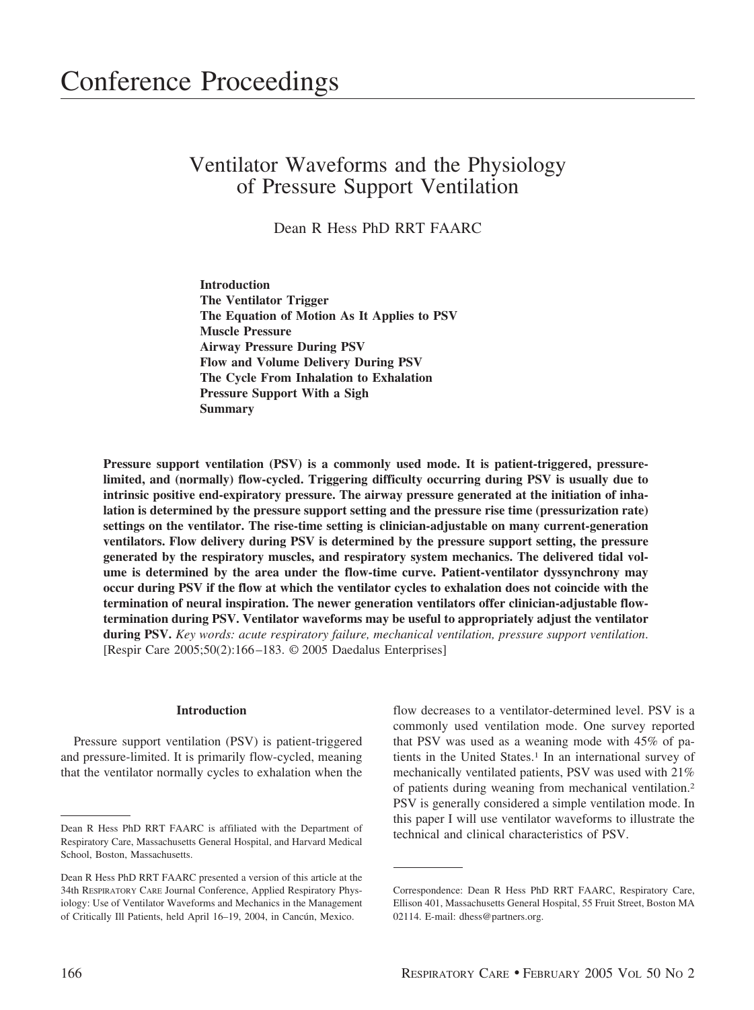# Ventilator Waveforms and the Physiology of Pressure Support Ventilation

Dean R Hess PhD RRT FAARC

**Introduction The Ventilator Trigger The Equation of Motion As It Applies to PSV Muscle Pressure Airway Pressure During PSV Flow and Volume Delivery During PSV The Cycle From Inhalation to Exhalation Pressure Support With a Sigh Summary**

**Pressure support ventilation (PSV) is a commonly used mode. It is patient-triggered, pressurelimited, and (normally) flow-cycled. Triggering difficulty occurring during PSV is usually due to intrinsic positive end-expiratory pressure. The airway pressure generated at the initiation of inhalation is determined by the pressure support setting and the pressure rise time (pressurization rate) settings on the ventilator. The rise-time setting is clinician-adjustable on many current-generation ventilators. Flow delivery during PSV is determined by the pressure support setting, the pressure generated by the respiratory muscles, and respiratory system mechanics. The delivered tidal volume is determined by the area under the flow-time curve. Patient-ventilator dyssynchrony may occur during PSV if the flow at which the ventilator cycles to exhalation does not coincide with the termination of neural inspiration. The newer generation ventilators offer clinician-adjustable flowtermination during PSV. Ventilator waveforms may be useful to appropriately adjust the ventilator during PSV.** *Key words: acute respiratory failure, mechanical ventilation, pressure support ventilation*. [Respir Care 2005;50(2):166–183. © 2005 Daedalus Enterprises]

## **Introduction**

Pressure support ventilation (PSV) is patient-triggered and pressure-limited. It is primarily flow-cycled, meaning that the ventilator normally cycles to exhalation when the

flow decreases to a ventilator-determined level. PSV is a commonly used ventilation mode. One survey reported that PSV was used as a weaning mode with 45% of patients in the United States.<sup>1</sup> In an international survey of mechanically ventilated patients, PSV was used with 21% of patients during weaning from mechanical ventilation.2 PSV is generally considered a simple ventilation mode. In this paper I will use ventilator waveforms to illustrate the

Dean R Hess PhD RRT FAARC is affiliated with the Department of technical and clinical characteristics of PSV. Respiratory Care, Massachusetts General Hospital, and Harvard Medical School, Boston, Massachusetts.

Dean R Hess PhD RRT FAARC presented a version of this article at the 34th RESPIRATORY CARE Journal Conference, Applied Respiratory Physiology: Use of Ventilator Waveforms and Mechanics in the Management of Critically Ill Patients, held April 16–19, 2004, in Cancún, Mexico.

Correspondence: Dean R Hess PhD RRT FAARC, Respiratory Care, Ellison 401, Massachusetts General Hospital, 55 Fruit Street, Boston MA 02114. E-mail: dhess@partners.org.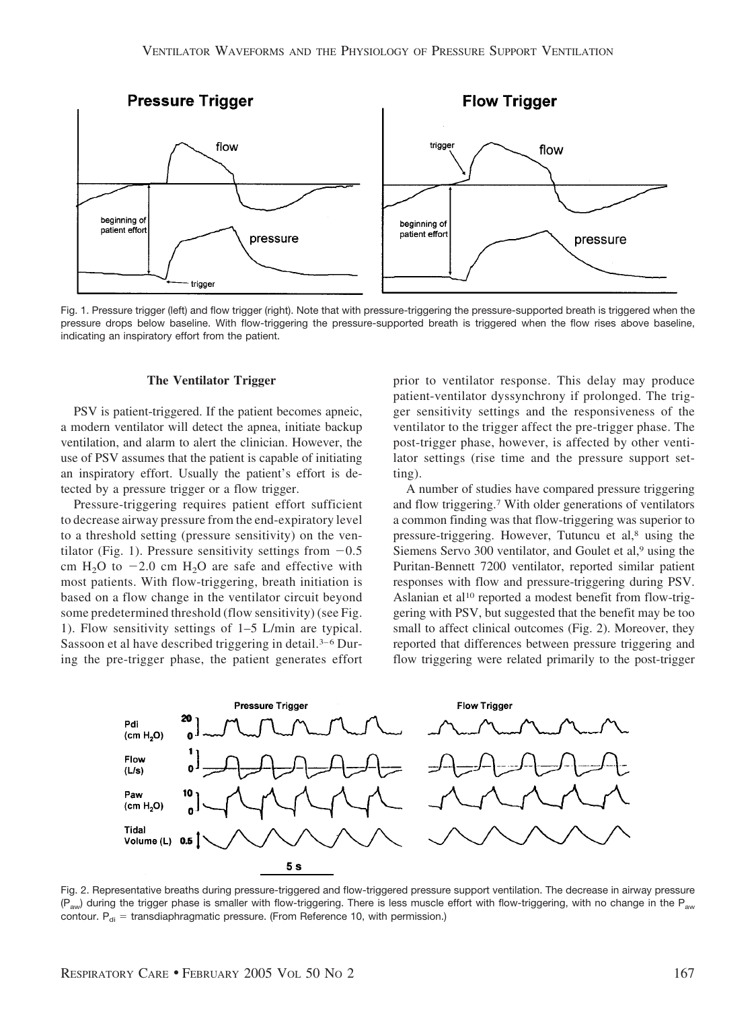

Fig. 1. Pressure trigger (left) and flow trigger (right). Note that with pressure-triggering the pressure-supported breath is triggered when the pressure drops below baseline. With flow-triggering the pressure-supported breath is triggered when the flow rises above baseline, indicating an inspiratory effort from the patient.

### **The Ventilator Trigger**

PSV is patient-triggered. If the patient becomes apneic, a modern ventilator will detect the apnea, initiate backup ventilation, and alarm to alert the clinician. However, the use of PSV assumes that the patient is capable of initiating an inspiratory effort. Usually the patient's effort is detected by a pressure trigger or a flow trigger.

Pressure-triggering requires patient effort sufficient to decrease airway pressure from the end-expiratory level to a threshold setting (pressure sensitivity) on the ventilator (Fig. 1). Pressure sensitivity settings from  $-0.5$ cm  $H_2O$  to  $-2.0$  cm  $H_2O$  are safe and effective with most patients. With flow-triggering, breath initiation is based on a flow change in the ventilator circuit beyond some predetermined threshold (flow sensitivity) (see Fig. 1). Flow sensitivity settings of 1–5 L/min are typical. Sassoon et al have described triggering in detail.<sup>3-6</sup> During the pre-trigger phase, the patient generates effort prior to ventilator response. This delay may produce patient-ventilator dyssynchrony if prolonged. The trigger sensitivity settings and the responsiveness of the ventilator to the trigger affect the pre-trigger phase. The post-trigger phase, however, is affected by other ventilator settings (rise time and the pressure support setting).

A number of studies have compared pressure triggering and flow triggering.7 With older generations of ventilators a common finding was that flow-triggering was superior to pressure-triggering. However, Tutuncu et al,<sup>8</sup> using the Siemens Servo 300 ventilator, and Goulet et al,<sup>9</sup> using the Puritan-Bennett 7200 ventilator, reported similar patient responses with flow and pressure-triggering during PSV. Aslanian et al<sup>10</sup> reported a modest benefit from flow-triggering with PSV, but suggested that the benefit may be too small to affect clinical outcomes (Fig. 2). Moreover, they reported that differences between pressure triggering and flow triggering were related primarily to the post-trigger



Fig. 2. Representative breaths during pressure-triggered and flow-triggered pressure support ventilation. The decrease in airway pressure  $(P_{\text{aw}})$  during the trigger phase is smaller with flow-triggering. There is less muscle effort with flow-triggering, with no change in the P<sub>aw</sub> contour.  $P_{di}$  = transdiaphragmatic pressure. (From Reference 10, with permission.)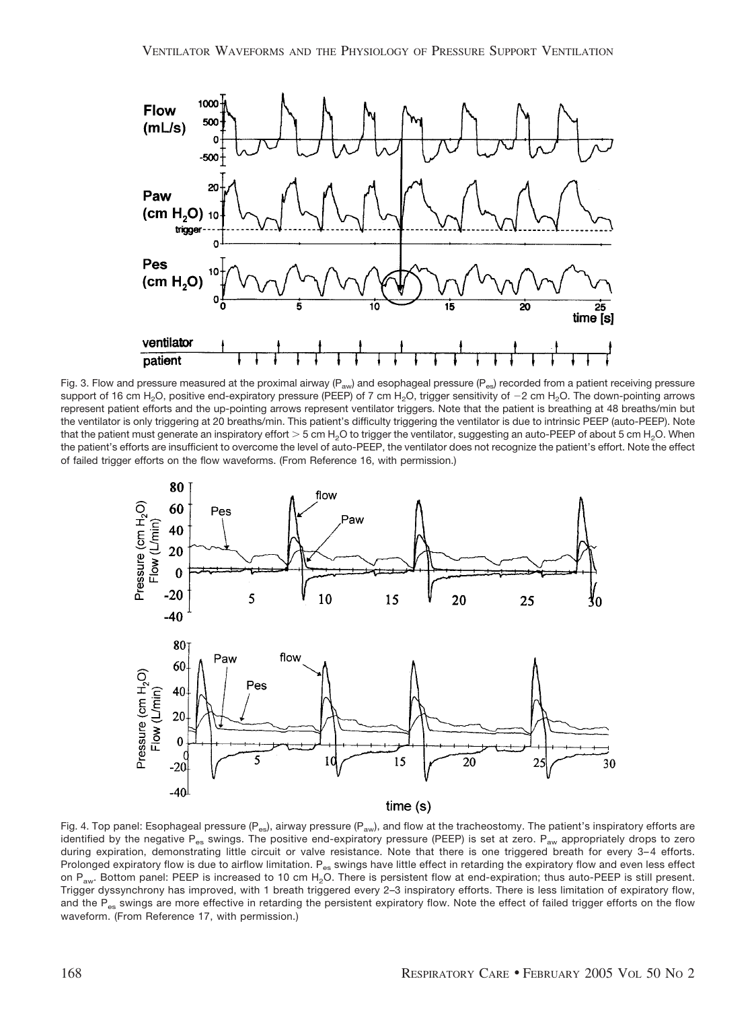

Fig. 3. Flow and pressure measured at the proximal airway ( $P_{\text{av}}$ ) and esophageal pressure ( $P_{\text{es}}$ ) recorded from a patient receiving pressure support of 16 cm H<sub>2</sub>O, positive end-expiratory pressure (PEEP) of 7 cm H<sub>2</sub>O, trigger sensitivity of  $-2$  cm H<sub>2</sub>O. The down-pointing arrows represent patient efforts and the up-pointing arrows represent ventilator triggers. Note that the patient is breathing at 48 breaths/min but the ventilator is only triggering at 20 breaths/min. This patient's difficulty triggering the ventilator is due to intrinsic PEEP (auto-PEEP). Note that the patient must generate an inspiratory effort  $> 5$  cm H<sub>2</sub>O to trigger the ventilator, suggesting an auto-PEEP of about 5 cm H<sub>2</sub>O. When the patient's efforts are insufficient to overcome the level of auto-PEEP, the ventilator does not recognize the patient's effort. Note the effect of failed trigger efforts on the flow waveforms. (From Reference 16, with permission.)



Fig. 4. Top panel: Esophageal pressure ( $P_{es}$ ), airway pressure ( $P_{av}$ ), and flow at the tracheostomy. The patient's inspiratory efforts are identified by the negative P<sub>es</sub> swings. The positive end-expiratory pressure (PEEP) is set at zero. P<sub>aw</sub> appropriately drops to zero during expiration, demonstrating little circuit or valve resistance. Note that there is one triggered breath for every 3-4 efforts. Prolonged expiratory flow is due to airflow limitation. P<sub>es</sub> swings have little effect in retarding the expiratory flow and even less effect on  $P_{\text{aw}}$ . Bottom panel: PEEP is increased to 10 cm H<sub>2</sub>O. There is persistent flow at end-expiration; thus auto-PEEP is still present. Trigger dyssynchrony has improved, with 1 breath triggered every 2–3 inspiratory efforts. There is less limitation of expiratory flow, and the  $P_{es}$  swings are more effective in retarding the persistent expiratory flow. Note the effect of failed trigger efforts on the flow waveform. (From Reference 17, with permission.)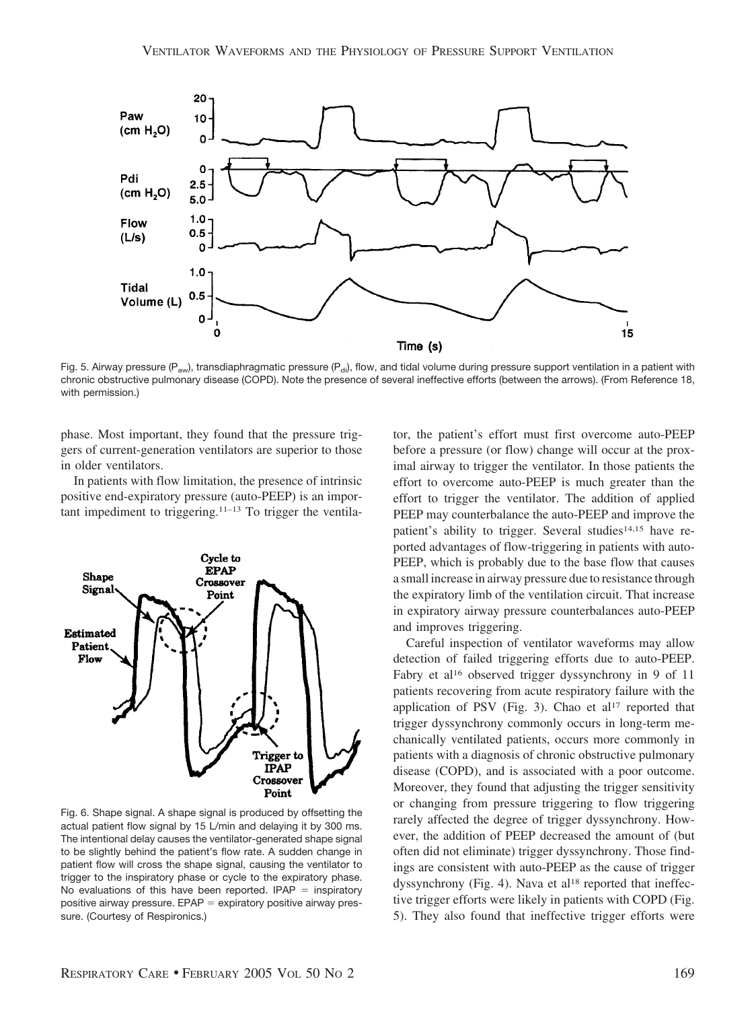

Fig. 5. Airway pressure (P<sub>aw</sub>), transdiaphragmatic pressure (P<sub>di</sub>), flow, and tidal volume during pressure support ventilation in a patient with chronic obstructive pulmonary disease (COPD). Note the presence of several ineffective efforts (between the arrows). (From Reference 18, with permission.)

phase. Most important, they found that the pressure triggers of current-generation ventilators are superior to those in older ventilators.

In patients with flow limitation, the presence of intrinsic positive end-expiratory pressure (auto-PEEP) is an important impediment to triggering.11–13 To trigger the ventila-



Fig. 6. Shape signal. A shape signal is produced by offsetting the actual patient flow signal by 15 L/min and delaying it by 300 ms. The intentional delay causes the ventilator-generated shape signal to be slightly behind the patient's flow rate. A sudden change in patient flow will cross the shape signal, causing the ventilator to trigger to the inspiratory phase or cycle to the expiratory phase. No evaluations of this have been reported. IPAP  $=$  inspiratory positive airway pressure. EPAP = expiratory positive airway pressure. (Courtesy of Respironics.)

tor, the patient's effort must first overcome auto-PEEP before a pressure (or flow) change will occur at the proximal airway to trigger the ventilator. In those patients the effort to overcome auto-PEEP is much greater than the effort to trigger the ventilator. The addition of applied PEEP may counterbalance the auto-PEEP and improve the patient's ability to trigger. Several studies<sup>14,15</sup> have reported advantages of flow-triggering in patients with auto-PEEP, which is probably due to the base flow that causes a small increase in airway pressure due to resistance through the expiratory limb of the ventilation circuit. That increase in expiratory airway pressure counterbalances auto-PEEP and improves triggering.

Careful inspection of ventilator waveforms may allow detection of failed triggering efforts due to auto-PEEP. Fabry et al<sup>16</sup> observed trigger dyssynchrony in 9 of 11 patients recovering from acute respiratory failure with the application of PSV (Fig. 3). Chao et al<sup>17</sup> reported that trigger dyssynchrony commonly occurs in long-term mechanically ventilated patients, occurs more commonly in patients with a diagnosis of chronic obstructive pulmonary disease (COPD), and is associated with a poor outcome. Moreover, they found that adjusting the trigger sensitivity or changing from pressure triggering to flow triggering rarely affected the degree of trigger dyssynchrony. However, the addition of PEEP decreased the amount of (but often did not eliminate) trigger dyssynchrony. Those findings are consistent with auto-PEEP as the cause of trigger dyssynchrony (Fig. 4). Nava et al<sup>18</sup> reported that ineffective trigger efforts were likely in patients with COPD (Fig. 5). They also found that ineffective trigger efforts were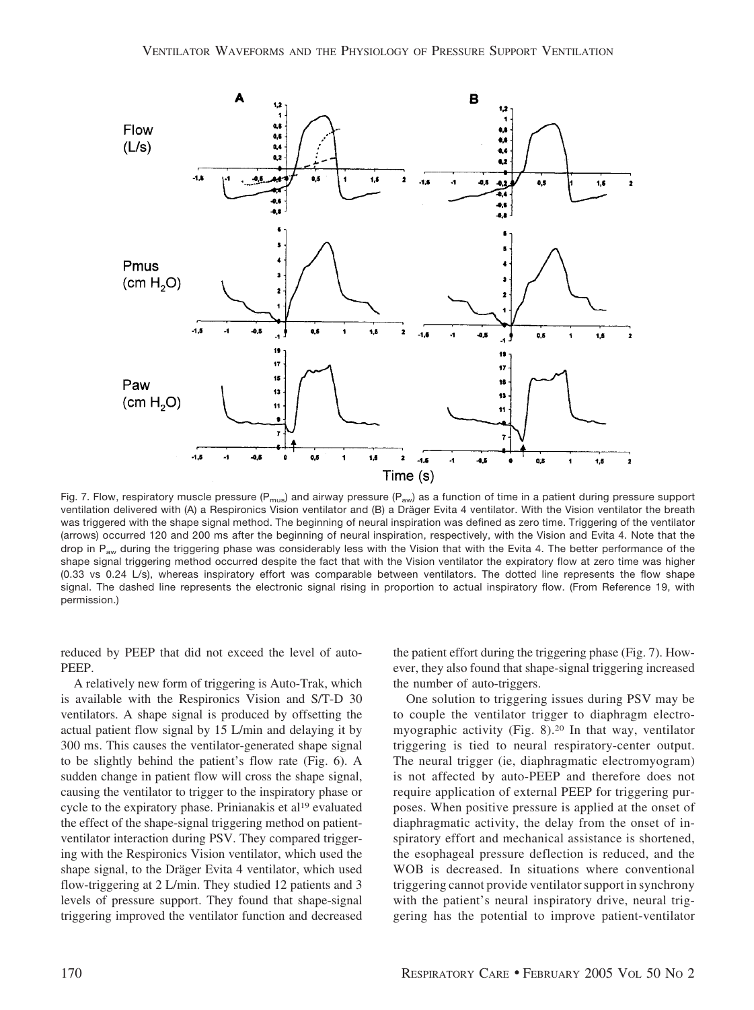

Fig. 7. Flow, respiratory muscle pressure ( $P_{mus}$ ) and airway pressure ( $P_{aw}$ ) as a function of time in a patient during pressure support ventilation delivered with (A) a Respironics Vision ventilator and (B) a Dräger Evita 4 ventilator. With the Vision ventilator the breath was triggered with the shape signal method. The beginning of neural inspiration was defined as zero time. Triggering of the ventilator (arrows) occurred 120 and 200 ms after the beginning of neural inspiration, respectively, with the Vision and Evita 4. Note that the drop in  $P_{aw}$  during the triggering phase was considerably less with the Vision that with the Evita 4. The better performance of the shape signal triggering method occurred despite the fact that with the Vision ventilator the expiratory flow at zero time was higher (0.33 vs 0.24 L/s), whereas inspiratory effort was comparable between ventilators. The dotted line represents the flow shape signal. The dashed line represents the electronic signal rising in proportion to actual inspiratory flow. (From Reference 19, with permission.)

reduced by PEEP that did not exceed the level of auto-PEEP.

A relatively new form of triggering is Auto-Trak, which is available with the Respironics Vision and S/T-D 30 ventilators. A shape signal is produced by offsetting the actual patient flow signal by 15 L/min and delaying it by 300 ms. This causes the ventilator-generated shape signal to be slightly behind the patient's flow rate (Fig. 6). A sudden change in patient flow will cross the shape signal, causing the ventilator to trigger to the inspiratory phase or cycle to the expiratory phase. Prinianakis et al<sup>19</sup> evaluated the effect of the shape-signal triggering method on patientventilator interaction during PSV. They compared triggering with the Respironics Vision ventilator, which used the shape signal, to the Dräger Evita 4 ventilator, which used flow-triggering at 2 L/min. They studied 12 patients and 3 levels of pressure support. They found that shape-signal triggering improved the ventilator function and decreased

the patient effort during the triggering phase (Fig. 7). However, they also found that shape-signal triggering increased the number of auto-triggers.

One solution to triggering issues during PSV may be to couple the ventilator trigger to diaphragm electromyographic activity (Fig. 8).20 In that way, ventilator triggering is tied to neural respiratory-center output. The neural trigger (ie, diaphragmatic electromyogram) is not affected by auto-PEEP and therefore does not require application of external PEEP for triggering purposes. When positive pressure is applied at the onset of diaphragmatic activity, the delay from the onset of inspiratory effort and mechanical assistance is shortened, the esophageal pressure deflection is reduced, and the WOB is decreased. In situations where conventional triggering cannot provide ventilator support in synchrony with the patient's neural inspiratory drive, neural triggering has the potential to improve patient-ventilator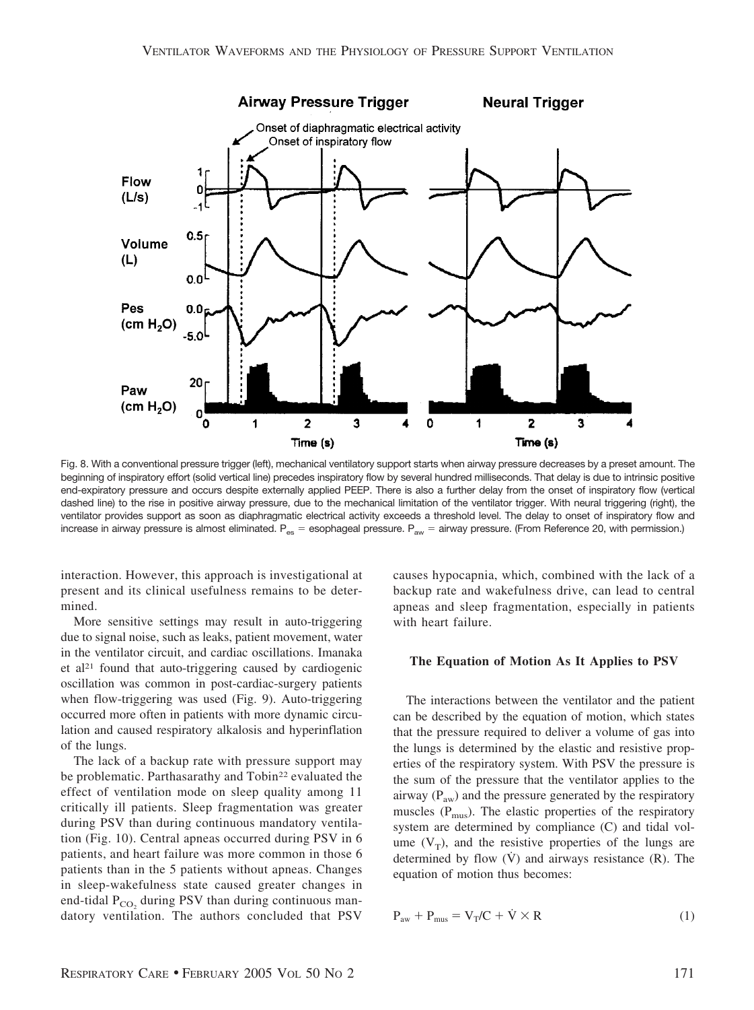

Fig. 8. With a conventional pressure trigger (left), mechanical ventilatory support starts when airway pressure decreases by a preset amount. The beginning of inspiratory effort (solid vertical line) precedes inspiratory flow by several hundred milliseconds. That delay is due to intrinsic positive end-expiratory pressure and occurs despite externally applied PEEP. There is also a further delay from the onset of inspiratory flow (vertical dashed line) to the rise in positive airway pressure, due to the mechanical limitation of the ventilator trigger. With neural triggering (right), the ventilator provides support as soon as diaphragmatic electrical activity exceeds a threshold level. The delay to onset of inspiratory flow and increase in airway pressure is almost eliminated.  $P_{es}$  = esophageal pressure.  $P_{aw}$  = airway pressure. (From Reference 20, with permission.)

interaction. However, this approach is investigational at present and its clinical usefulness remains to be determined.

More sensitive settings may result in auto-triggering due to signal noise, such as leaks, patient movement, water in the ventilator circuit, and cardiac oscillations. Imanaka et al<sup>21</sup> found that auto-triggering caused by cardiogenic oscillation was common in post-cardiac-surgery patients when flow-triggering was used (Fig. 9). Auto-triggering occurred more often in patients with more dynamic circulation and caused respiratory alkalosis and hyperinflation of the lungs.

The lack of a backup rate with pressure support may be problematic. Parthasarathy and Tobin<sup>22</sup> evaluated the effect of ventilation mode on sleep quality among 11 critically ill patients. Sleep fragmentation was greater during PSV than during continuous mandatory ventilation (Fig. 10). Central apneas occurred during PSV in 6 patients, and heart failure was more common in those 6 patients than in the 5 patients without apneas. Changes in sleep-wakefulness state caused greater changes in end-tidal  $P_{CO<sub>2</sub>}$  during PSV than during continuous mandatory ventilation. The authors concluded that PSV

causes hypocapnia, which, combined with the lack of a backup rate and wakefulness drive, can lead to central apneas and sleep fragmentation, especially in patients with heart failure.

#### **The Equation of Motion As It Applies to PSV**

The interactions between the ventilator and the patient can be described by the equation of motion, which states that the pressure required to deliver a volume of gas into the lungs is determined by the elastic and resistive properties of the respiratory system. With PSV the pressure is the sum of the pressure that the ventilator applies to the airway  $(P_{aw})$  and the pressure generated by the respiratory muscles  $(P_{\text{mus}})$ . The elastic properties of the respiratory system are determined by compliance (C) and tidal volume  $(V_T)$ , and the resistive properties of the lungs are determined by flow  $(V)$  and airways resistance  $(R)$ . The equation of motion thus becomes:

$$
P_{aw} + P_{mus} = V_T / C + \dot{V} \times R \tag{1}
$$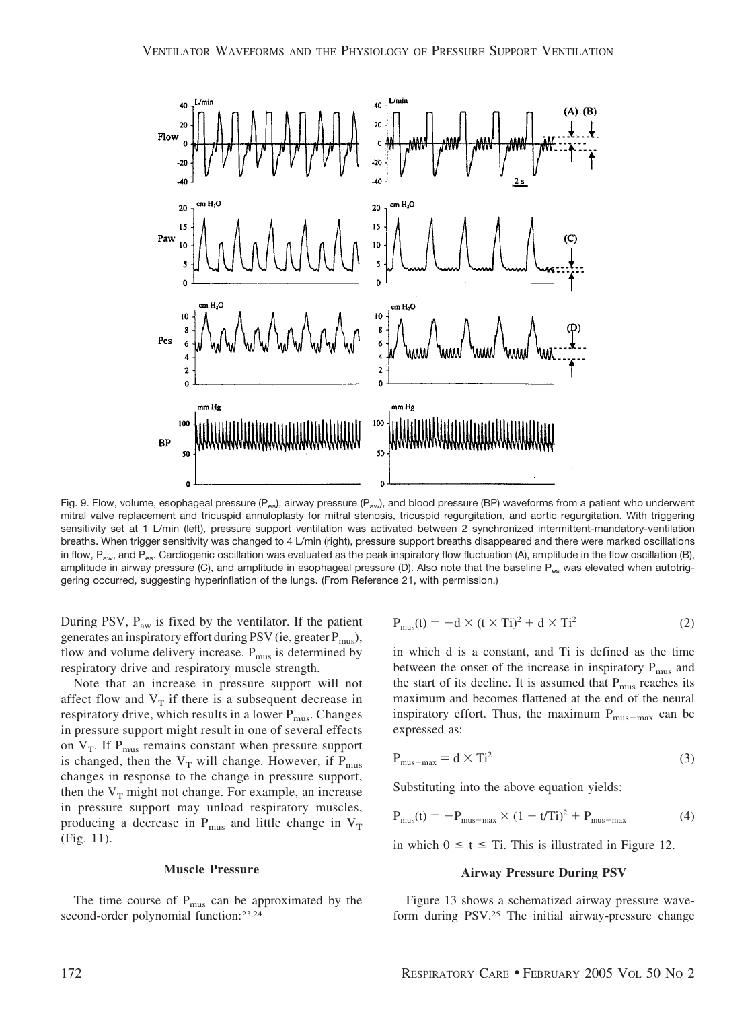

Fig. 9. Flow, volume, esophageal pressure  $(P_{es}$ , airway pressure  $(P_{aw})$ , and blood pressure (BP) waveforms from a patient who underwent mitral valve replacement and tricuspid annuloplasty for mitral stenosis, tricuspid regurgitation, and aortic regurgitation. With triggering sensitivity set at 1 L/min (left), pressure support ventilation was activated between 2 synchronized intermittent-mandatory-ventilation breaths. When trigger sensitivity was changed to 4 L/min (right), pressure support breaths disappeared and there were marked oscillations in flow, P<sub>aw</sub>, and P<sub>es</sub>. Cardiogenic oscillation was evaluated as the peak inspiratory flow fluctuation (A), amplitude in the flow oscillation (B), amplitude in airway pressure (C), and amplitude in esophageal pressure (D). Also note that the baseline P<sub>es</sub> was elevated when autotriggering occurred, suggesting hyperinflation of the lungs. (From Reference 21, with permission.)

During PSV,  $P_{\text{aw}}$  is fixed by the ventilator. If the patient generates an inspiratory effort during PSV (ie, greater  $P_{\text{mus}}$ ), flow and volume delivery increase.  $P_{\text{mus}}$  is determined by respiratory drive and respiratory muscle strength.

Note that an increase in pressure support will not affect flow and  $V_T$  if there is a subsequent decrease in respiratory drive, which results in a lower  $P_{\text{mus}}$ . Changes in pressure support might result in one of several effects on  $V_T$ . If  $P_{mus}$  remains constant when pressure support is changed, then the  $V_T$  will change. However, if  $P_{\text{mus}}$ changes in response to the change in pressure support, then the  $V_T$  might not change. For example, an increase in pressure support may unload respiratory muscles, producing a decrease in  $P_{\text{mus}}$  and little change in  $V_T$ (Fig. 11).

#### **Muscle Pressure**

The time course of  $P_{\text{mus}}$  can be approximated by the second-order polynomial function:23,24

$$
P_{\text{mus}}(t) = -d \times (t \times Ti)^2 + d \times Ti^2 \tag{2}
$$

in which d is a constant, and Ti is defined as the time between the onset of the increase in inspiratory  $P_{\text{mus}}$  and the start of its decline. It is assumed that  $P_{\text{mus}}$  reaches its maximum and becomes flattened at the end of the neural inspiratory effort. Thus, the maximum  $P_{\text{mus-max}}$  can be expressed as:

$$
P_{\text{mus-max}} = d \times Ti^2 \tag{3}
$$

Substituting into the above equation yields:

$$
P_{\text{mus}}(t) = -P_{\text{mus-max}} \times (1 - t/Ti)^2 + P_{\text{mus-max}} \tag{4}
$$

in which  $0 \le t \le T$ i. This is illustrated in Figure 12.

### **Airway Pressure During PSV**

Figure 13 shows a schematized airway pressure waveform during PSV.25 The initial airway-pressure change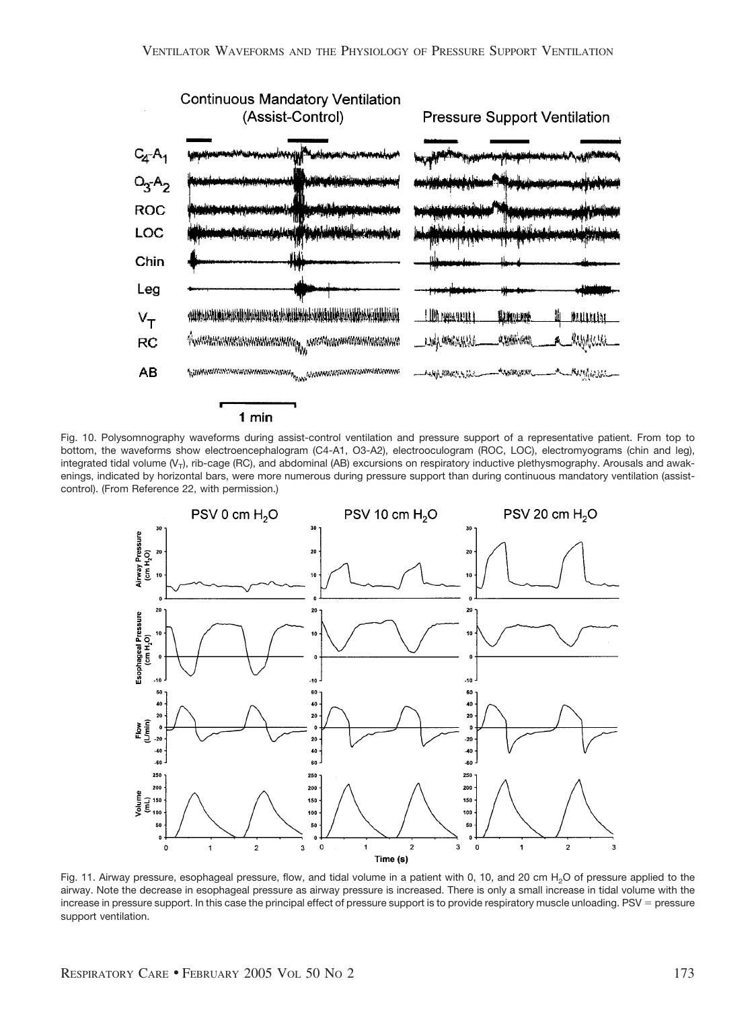

## 1 min





Fig. 11. Airway pressure, esophageal pressure, flow, and tidal volume in a patient with 0, 10, and 20 cm  $H_2O$  of pressure applied to the airway. Note the decrease in esophageal pressure as airway pressure is increased. There is only a small increase in tidal volume with the increase in pressure support. In this case the principal effect of pressure support is to provide respiratory muscle unloading. PSV = pressure support ventilation.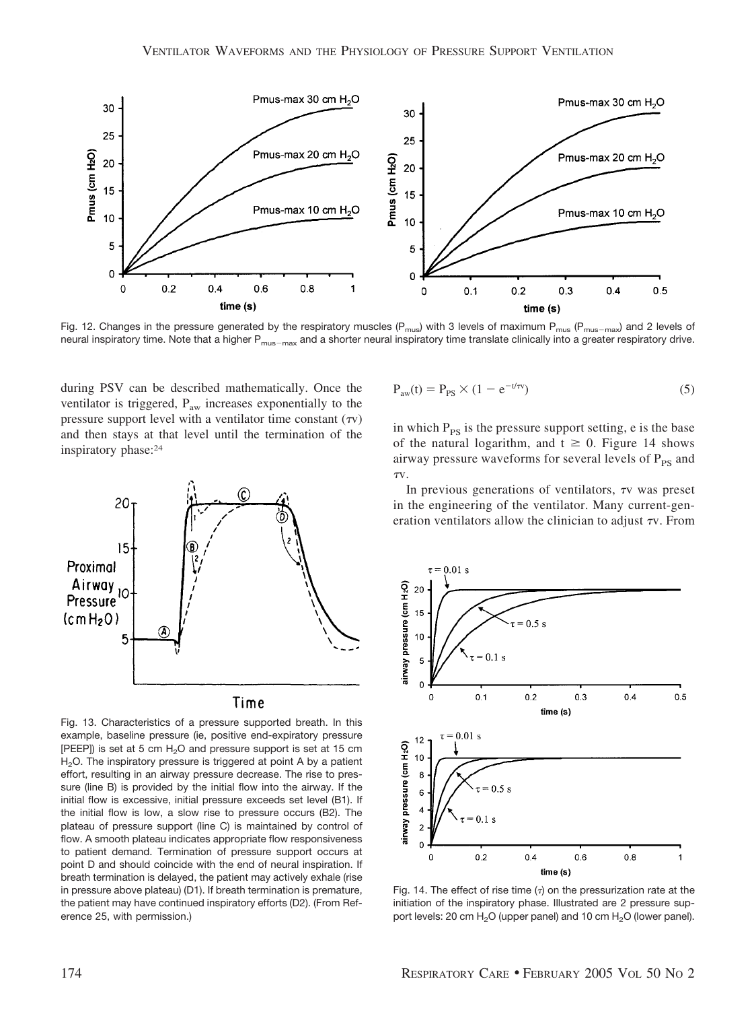

Fig. 12. Changes in the pressure generated by the respiratory muscles ( $P_{mus}$ ) with 3 levels of maximum  $P_{mus}$  ( $P_{mus-max}$ ) and 2 levels of neural inspiratory time. Note that a higher P<sub>mus-max</sub> and a shorter neural inspiratory time translate clinically into a greater respiratory drive.

during PSV can be described mathematically. Once the ventilator is triggered, P<sub>aw</sub> increases exponentially to the pressure support level with a ventilator time constant  $(\tau v)$ and then stays at that level until the termination of the inspiratory phase:24



Fig. 13. Characteristics of a pressure supported breath. In this example, baseline pressure (ie, positive end-expiratory pressure [PEEP]) is set at 5 cm  $H<sub>2</sub>O$  and pressure support is set at 15 cm H<sub>2</sub>O. The inspiratory pressure is triggered at point A by a patient effort, resulting in an airway pressure decrease. The rise to pressure (line B) is provided by the initial flow into the airway. If the initial flow is excessive, initial pressure exceeds set level (B1). If the initial flow is low, a slow rise to pressure occurs (B2). The plateau of pressure support (line C) is maintained by control of flow. A smooth plateau indicates appropriate flow responsiveness to patient demand. Termination of pressure support occurs at point D and should coincide with the end of neural inspiration. If breath termination is delayed, the patient may actively exhale (rise in pressure above plateau) (D1). If breath termination is premature, the patient may have continued inspiratory efforts (D2). (From Reference 25, with permission.)

$$
P_{\text{aw}}(t) = P_{\text{PS}} \times (1 - e^{-t/\tau v})
$$
\n
$$
(5)
$$

in which  $P_{PS}$  is the pressure support setting, e is the base of the natural logarithm, and  $t \ge 0$ . Figure 14 shows airway pressure waveforms for several levels of  $P_{PS}$  and TV.

In previous generations of ventilators,  $\tau v$  was preset in the engineering of the ventilator. Many current-generation ventilators allow the clinician to adjust  $\tau v$ . From



Fig. 14. The effect of rise time  $(7)$  on the pressurization rate at the initiation of the inspiratory phase. Illustrated are 2 pressure support levels: 20 cm  $H_2O$  (upper panel) and 10 cm  $H_2O$  (lower panel).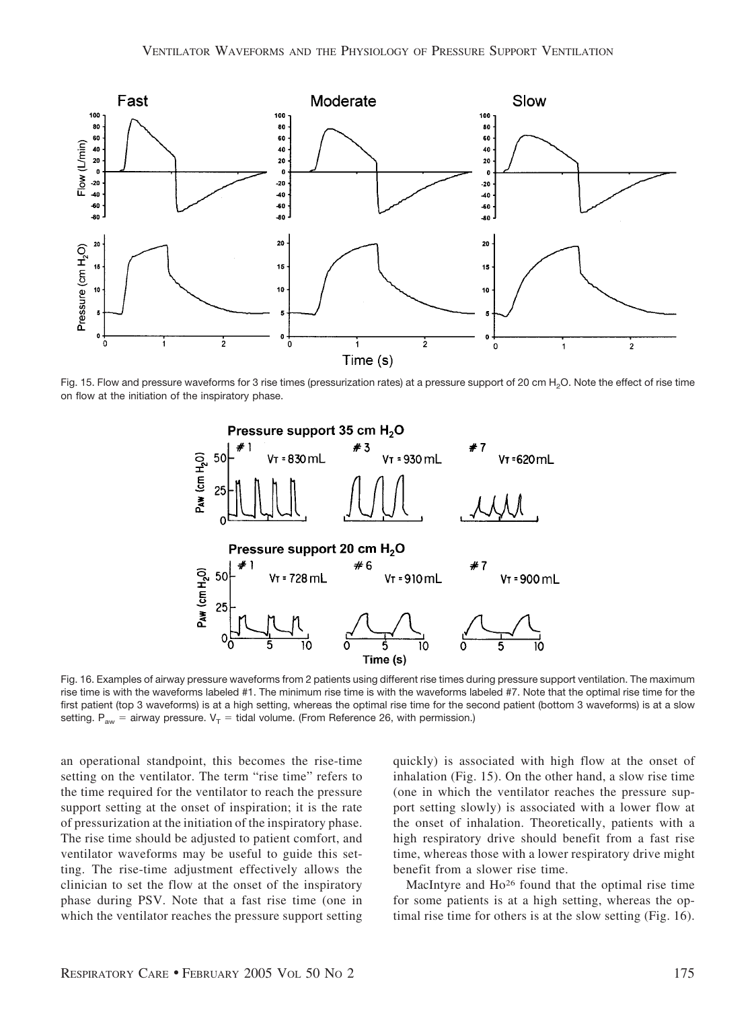

Fig. 15. Flow and pressure waveforms for 3 rise times (pressurization rates) at a pressure support of 20 cm H<sub>2</sub>O. Note the effect of rise time on flow at the initiation of the inspiratory phase.



Fig. 16. Examples of airway pressure waveforms from 2 patients using different rise times during pressure support ventilation. The maximum rise time is with the waveforms labeled #1. The minimum rise time is with the waveforms labeled #7. Note that the optimal rise time for the first patient (top 3 waveforms) is at a high setting, whereas the optimal rise time for the second patient (bottom 3 waveforms) is at a slow setting.  $P_{\text{aw}} =$  airway pressure.  $V_T =$  tidal volume. (From Reference 26, with permission.)

an operational standpoint, this becomes the rise-time setting on the ventilator. The term "rise time" refers to the time required for the ventilator to reach the pressure support setting at the onset of inspiration; it is the rate of pressurization at the initiation of the inspiratory phase. The rise time should be adjusted to patient comfort, and ventilator waveforms may be useful to guide this setting. The rise-time adjustment effectively allows the clinician to set the flow at the onset of the inspiratory phase during PSV. Note that a fast rise time (one in which the ventilator reaches the pressure support setting quickly) is associated with high flow at the onset of inhalation (Fig. 15). On the other hand, a slow rise time (one in which the ventilator reaches the pressure support setting slowly) is associated with a lower flow at the onset of inhalation. Theoretically, patients with a high respiratory drive should benefit from a fast rise time, whereas those with a lower respiratory drive might benefit from a slower rise time.

MacIntyre and Ho26 found that the optimal rise time for some patients is at a high setting, whereas the optimal rise time for others is at the slow setting (Fig. 16).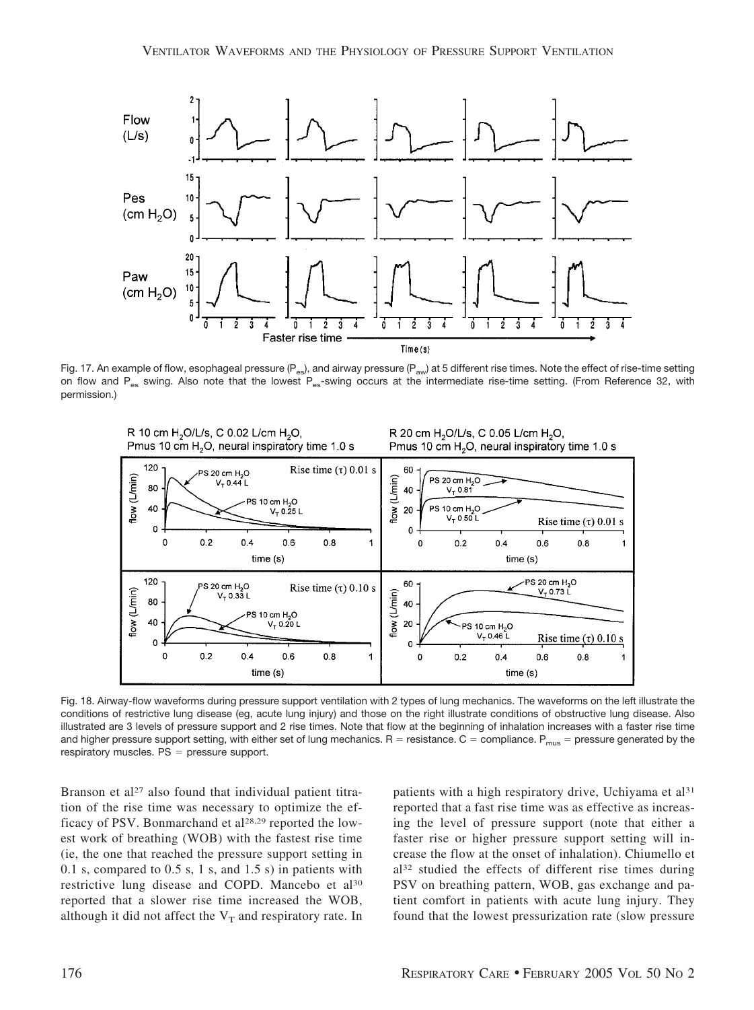

Fig. 17. An example of flow, esophageal pressure (P<sub>es</sub>), and airway pressure (P<sub>aw</sub>) at 5 different rise times. Note the effect of rise-time setting on flow and P<sub>es</sub> swing. Also note that the lowest P<sub>es</sub>-swing occurs at the intermediate rise-time setting. (From Reference 32, with permission.)



Fig. 18. Airway-flow waveforms during pressure support ventilation with 2 types of lung mechanics. The waveforms on the left illustrate the conditions of restrictive lung disease (eg, acute lung injury) and those on the right illustrate conditions of obstructive lung disease. Also illustrated are 3 levels of pressure support and 2 rise times. Note that flow at the beginning of inhalation increases with a faster rise time and higher pressure support setting, with either set of lung mechanics. R = resistance. C = compliance. P $_{\sf mus}$  = pressure generated by the  $respiratory$  muscles.  $PS = pressure$  support.

Branson et al<sup>27</sup> also found that individual patient titration of the rise time was necessary to optimize the efficacy of PSV. Bonmarchand et al<sup>28,29</sup> reported the lowest work of breathing (WOB) with the fastest rise time (ie, the one that reached the pressure support setting in 0.1 s, compared to 0.5 s, 1 s, and 1.5 s) in patients with restrictive lung disease and COPD. Mancebo et al<sup>30</sup> reported that a slower rise time increased the WOB, although it did not affect the  $V_T$  and respiratory rate. In patients with a high respiratory drive, Uchiyama et al<sup>31</sup> reported that a fast rise time was as effective as increasing the level of pressure support (note that either a faster rise or higher pressure support setting will increase the flow at the onset of inhalation). Chiumello et al32 studied the effects of different rise times during PSV on breathing pattern, WOB, gas exchange and patient comfort in patients with acute lung injury. They found that the lowest pressurization rate (slow pressure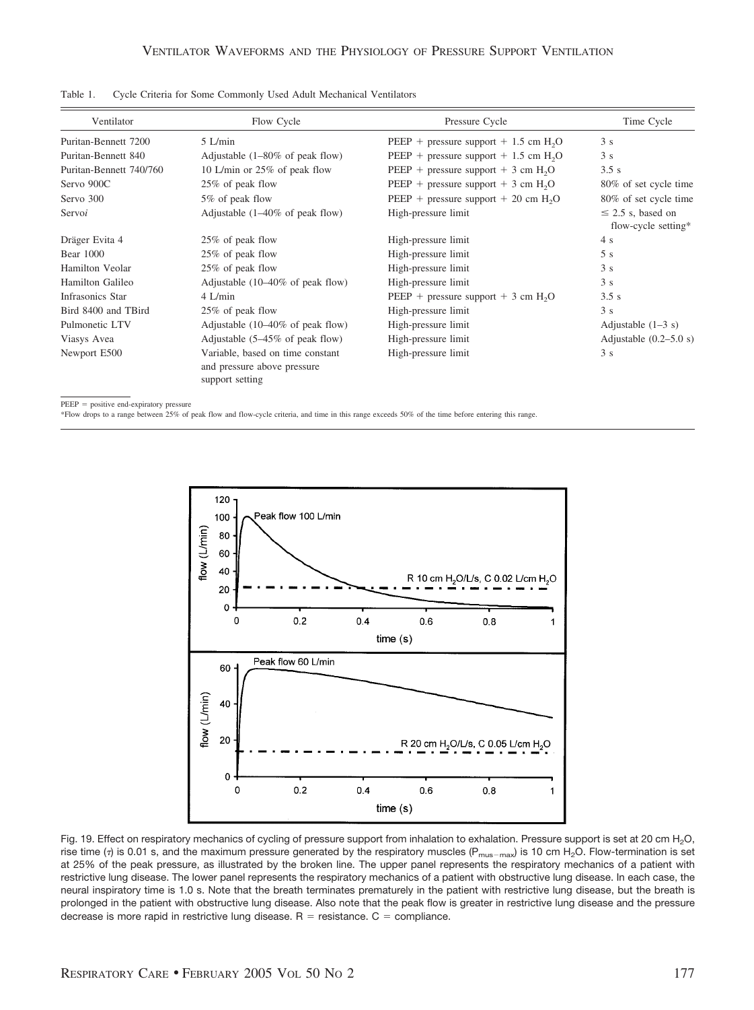| Ventilator<br>Flow Cycle<br>Puritan-Bennett 7200<br>$5$ L/min |                                                                                    | Pressure Cycle                                      | Time Cycle                                    |  |
|---------------------------------------------------------------|------------------------------------------------------------------------------------|-----------------------------------------------------|-----------------------------------------------|--|
|                                                               |                                                                                    | PEEP + pressure support + $1.5$ cm H <sub>2</sub> O | 3s                                            |  |
| Puritan-Bennett 840                                           | Adjustable $(1-80\% \text{ of peak flow})$                                         | PEEP + pressure support + 1.5 cm $H_2O$             | 3s                                            |  |
| Puritan-Bennett 740/760                                       | 10 L/min or 25% of peak flow                                                       | PEEP + pressure support + $3 \text{ cm } H2O$       | 3.5s                                          |  |
| Servo 900C                                                    | 25% of peak flow                                                                   | PEEP + pressure support + $3 \text{ cm } H2O$       | 80% of set cycle time                         |  |
| Servo 300                                                     | 5% of peak flow                                                                    | PEEP + pressure support + 20 cm $H2O$               | 80% of set cycle time                         |  |
| Servoi                                                        | Adjustable $(1-40\% \text{ of peak flow})$                                         | High-pressure limit                                 | $\leq$ 2.5 s, based on<br>flow-cycle setting* |  |
| Dräger Evita 4                                                | 25% of peak flow                                                                   | High-pressure limit                                 | 4 s                                           |  |
| <b>Bear</b> 1000                                              | 25% of peak flow                                                                   | High-pressure limit                                 | 5s                                            |  |
| Hamilton Veolar                                               | 25% of peak flow                                                                   | High-pressure limit                                 | 3s                                            |  |
| <b>Hamilton Galileo</b>                                       | Adjustable $(10-40\% \text{ of peak flow})$                                        | High-pressure limit                                 | 3s                                            |  |
| Infrasonics Star                                              | $4$ L/min                                                                          | PEEP + pressure support + $3 \text{ cm } H2O$       | 3.5s                                          |  |
| Bird 8400 and TBird                                           | 25% of peak flow                                                                   | High-pressure limit                                 | 3s                                            |  |
| Pulmonetic LTV                                                | Adjustable $(10-40\% \text{ of peak flow})$                                        | High-pressure limit                                 | Adjustable $(1-3 s)$                          |  |
| Viasys Avea                                                   | Adjustable $(5-45\% \text{ of peak flow})$                                         | High-pressure limit                                 | Adjustable $(0.2-5.0 s)$                      |  |
| Newport E500                                                  | Variable, based on time constant<br>and pressure above pressure<br>support setting | High-pressure limit                                 | 3s                                            |  |

Table 1. Cycle Criteria for Some Commonly Used Adult Mechanical Ventilators

 $PEEP = positive end-expiratory pressure$ 

\*Flow drops to a range between 25% of peak flow and flow-cycle criteria, and time in this range exceeds 50% of the time before entering this range.



Fig. 19. Effect on respiratory mechanics of cycling of pressure support from inhalation to exhalation. Pressure support is set at 20 cm H<sub>2</sub>O, rise time ( $\tau$ ) is 0.01 s, and the maximum pressure generated by the respiratory muscles ( $P_{\text{mus-max}}$ ) is 10 cm H<sub>2</sub>O. Flow-termination is set at 25% of the peak pressure, as illustrated by the broken line. The upper panel represents the respiratory mechanics of a patient with restrictive lung disease. The lower panel represents the respiratory mechanics of a patient with obstructive lung disease. In each case, the neural inspiratory time is 1.0 s. Note that the breath terminates prematurely in the patient with restrictive lung disease, but the breath is prolonged in the patient with obstructive lung disease. Also note that the peak flow is greater in restrictive lung disease and the pressure decrease is more rapid in restrictive lung disease.  $R =$  resistance.  $C =$  compliance.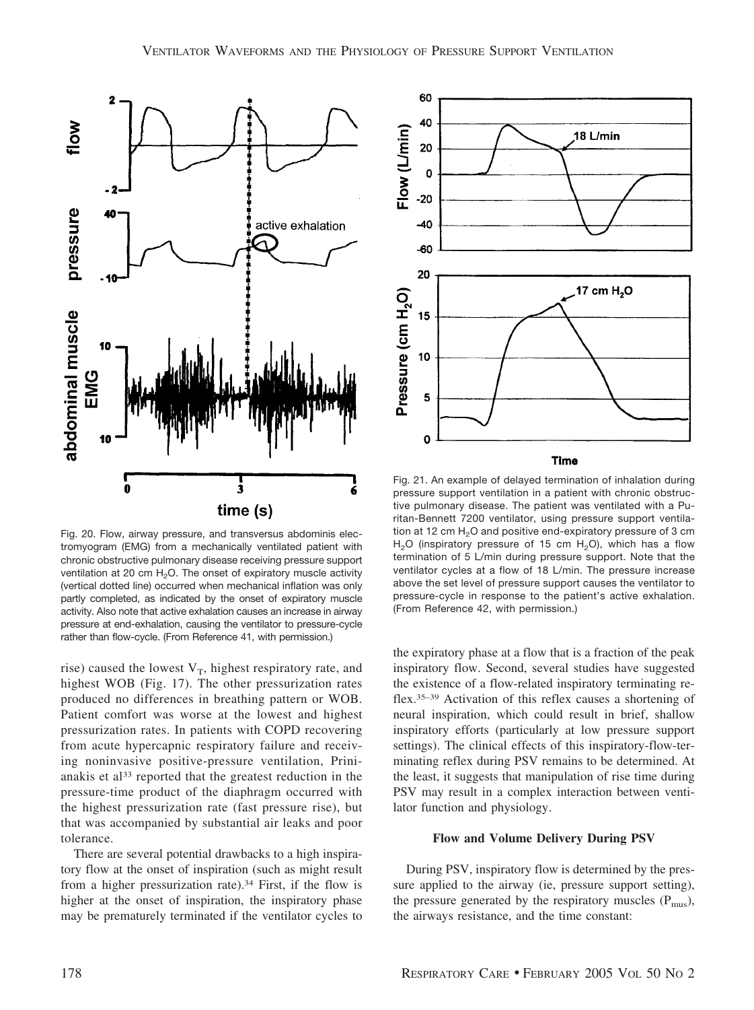

Fig. 20. Flow, airway pressure, and transversus abdominis electromyogram (EMG) from a mechanically ventilated patient with chronic obstructive pulmonary disease receiving pressure support ventilation at 20 cm  $H_2O$ . The onset of expiratory muscle activity (vertical dotted line) occurred when mechanical inflation was only partly completed, as indicated by the onset of expiratory muscle activity. Also note that active exhalation causes an increase in airway pressure at end-exhalation, causing the ventilator to pressure-cycle rather than flow-cycle. (From Reference 41, with permission.)

rise) caused the lowest  $V_T$ , highest respiratory rate, and highest WOB (Fig. 17). The other pressurization rates produced no differences in breathing pattern or WOB. Patient comfort was worse at the lowest and highest pressurization rates. In patients with COPD recovering from acute hypercapnic respiratory failure and receiving noninvasive positive-pressure ventilation, Prinianakis et al<sup>33</sup> reported that the greatest reduction in the pressure-time product of the diaphragm occurred with the highest pressurization rate (fast pressure rise), but that was accompanied by substantial air leaks and poor tolerance.

There are several potential drawbacks to a high inspiratory flow at the onset of inspiration (such as might result from a higher pressurization rate).34 First, if the flow is higher at the onset of inspiration, the inspiratory phase may be prematurely terminated if the ventilator cycles to



Fig. 21. An example of delayed termination of inhalation during pressure support ventilation in a patient with chronic obstructive pulmonary disease. The patient was ventilated with a Puritan-Bennett 7200 ventilator, using pressure support ventilation at 12 cm  $H<sub>2</sub>O$  and positive end-expiratory pressure of 3 cm H<sub>2</sub>O (inspiratory pressure of 15 cm H<sub>2</sub>O), which has a flow termination of 5 L/min during pressure support. Note that the ventilator cycles at a flow of 18 L/min. The pressure increase above the set level of pressure support causes the ventilator to pressure-cycle in response to the patient's active exhalation. (From Reference 42, with permission.)

the expiratory phase at a flow that is a fraction of the peak inspiratory flow. Second, several studies have suggested the existence of a flow-related inspiratory terminating reflex.35–39 Activation of this reflex causes a shortening of neural inspiration, which could result in brief, shallow inspiratory efforts (particularly at low pressure support settings). The clinical effects of this inspiratory-flow-terminating reflex during PSV remains to be determined. At the least, it suggests that manipulation of rise time during PSV may result in a complex interaction between ventilator function and physiology.

#### **Flow and Volume Delivery During PSV**

During PSV, inspiratory flow is determined by the pressure applied to the airway (ie, pressure support setting), the pressure generated by the respiratory muscles  $(P_{\text{mus}})$ , the airways resistance, and the time constant: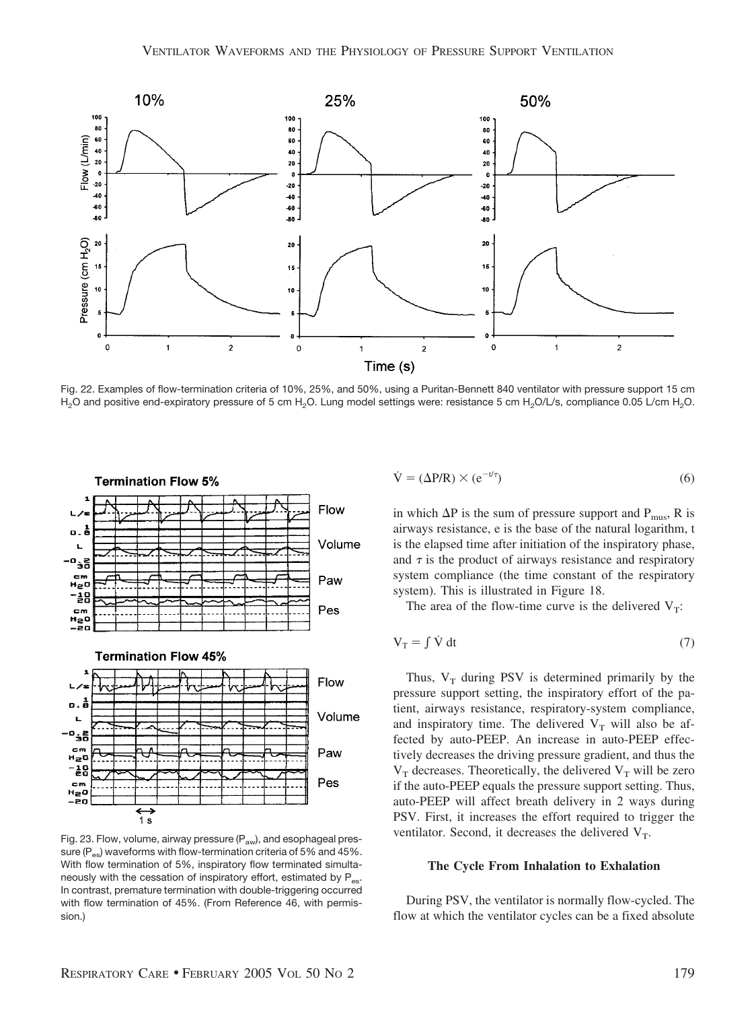

Fig. 22. Examples of flow-termination criteria of 10%, 25%, and 50%, using a Puritan-Bennett 840 ventilator with pressure support 15 cm H<sub>2</sub>O and positive end-expiratory pressure of 5 cm H<sub>2</sub>O. Lung model settings were: resistance 5 cm H<sub>2</sub>O/L/s, compliance 0.05 L/cm H<sub>2</sub>O.



Fig. 23. Flow, volume, airway pressure  $(P_{\text{aw}})$ , and esophageal pressure  $(P_{\infty})$  waveforms with flow-termination criteria of 5% and 45%. With flow termination of 5%, inspiratory flow terminated simultaneously with the cessation of inspiratory effort, estimated by  $P_{es}$ . In contrast, premature termination with double-triggering occurred with flow termination of 45%. (From Reference 46, with permission.)

$$
\dot{\mathbf{V}} = (\Delta \mathbf{P}/\mathbf{R}) \times (\mathbf{e}^{-t/\tau})
$$
\n(6)

in which  $\Delta P$  is the sum of pressure support and  $P_{\text{mus}}$ , R is airways resistance, e is the base of the natural logarithm, t is the elapsed time after initiation of the inspiratory phase, and  $\tau$  is the product of airways resistance and respiratory system compliance (the time constant of the respiratory system). This is illustrated in Figure 18.

The area of the flow-time curve is the delivered  $V_T$ :

$$
V_T = \int \dot{V} dt
$$
 (7)

Thus,  $V_T$  during PSV is determined primarily by the pressure support setting, the inspiratory effort of the patient, airways resistance, respiratory-system compliance, and inspiratory time. The delivered  $V_T$  will also be affected by auto-PEEP. An increase in auto-PEEP effectively decreases the driving pressure gradient, and thus the  $V_T$  decreases. Theoretically, the delivered  $V_T$  will be zero if the auto-PEEP equals the pressure support setting. Thus, auto-PEEP will affect breath delivery in 2 ways during PSV. First, it increases the effort required to trigger the ventilator. Second, it decreases the delivered  $V_T$ .

#### **The Cycle From Inhalation to Exhalation**

During PSV, the ventilator is normally flow-cycled. The flow at which the ventilator cycles can be a fixed absolute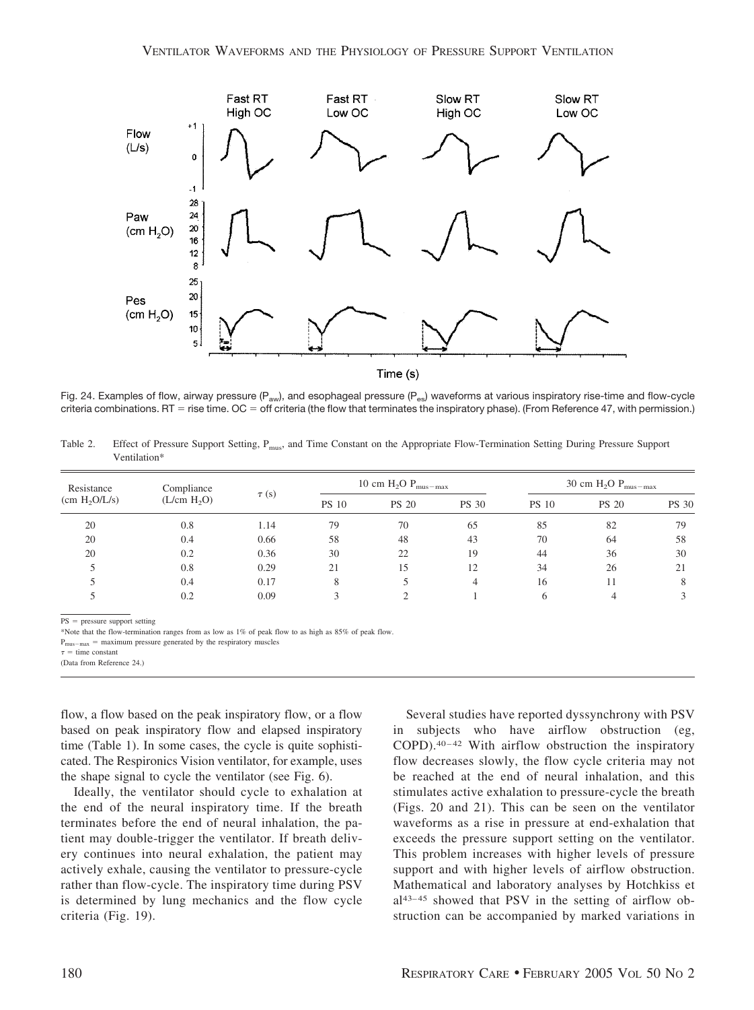

Fig. 24. Examples of flow, airway pressure ( $P_{av}$ ), and esophageal pressure ( $P_{es}$ ) waveforms at various inspiratory rise-time and flow-cycle criteria combinations. RT = rise time. OC = off criteria (the flow that terminates the inspiratory phase). (From Reference 47, with permission.)

Table 2. Effect of Pressure Support Setting, P<sub>mus</sub>, and Time Constant on the Appropriate Flow-Termination Setting During Pressure Support Ventilation\*

| Resistance<br>(cm H <sub>2</sub> O/L/s) | Compliance<br>(L/cm H <sub>2</sub> O) | $\tau(s)$ | 10 cm $H_2O$ $P_{\text{mus-max}}$ |              |              | 30 cm $H_2O$ $P_{\text{mus-max}}$ |              |              |
|-----------------------------------------|---------------------------------------|-----------|-----------------------------------|--------------|--------------|-----------------------------------|--------------|--------------|
|                                         |                                       |           | <b>PS 10</b>                      | <b>PS 20</b> | <b>PS 30</b> | <b>PS 10</b>                      | <b>PS 20</b> | <b>PS 30</b> |
| 20                                      | 0.8                                   | 1.14      | 79                                | 70           | 65           | 85                                | 82           | 79           |
| 20                                      | 0.4                                   | 0.66      | 58                                | 48           | 43           | 70                                | 64           | 58           |
| 20                                      | 0.2                                   | 0.36      | 30                                | 22           | 19           | 44                                | 36           | 30           |
|                                         | 0.8                                   | 0.29      | 21                                | 15           | 12           | 34                                | 26           | 21           |
|                                         | 0.4                                   | 0.17      | 8                                 |              | 4            | 16                                |              | 8            |
|                                         | 0.2                                   | 0.09      | $\overline{\mathbf{c}}$           |              |              |                                   |              |              |

PS = pressure support setting

\*Note that the flow-termination ranges from as low as 1% of peak flow to as high as 85% of peak flow.

 $P_{\text{mus-max}} =$  maximum pressure generated by the respiratory muscles

 $\tau$  = time constant (Data from Reference 24.)

flow, a flow based on the peak inspiratory flow, or a flow based on peak inspiratory flow and elapsed inspiratory time (Table 1). In some cases, the cycle is quite sophisticated. The Respironics Vision ventilator, for example, uses the shape signal to cycle the ventilator (see Fig. 6).

Ideally, the ventilator should cycle to exhalation at the end of the neural inspiratory time. If the breath terminates before the end of neural inhalation, the patient may double-trigger the ventilator. If breath delivery continues into neural exhalation, the patient may actively exhale, causing the ventilator to pressure-cycle rather than flow-cycle. The inspiratory time during PSV is determined by lung mechanics and the flow cycle criteria (Fig. 19).

Several studies have reported dyssynchrony with PSV in subjects who have airflow obstruction (eg, COPD).40–42 With airflow obstruction the inspiratory flow decreases slowly, the flow cycle criteria may not be reached at the end of neural inhalation, and this stimulates active exhalation to pressure-cycle the breath (Figs. 20 and 21). This can be seen on the ventilator waveforms as a rise in pressure at end-exhalation that exceeds the pressure support setting on the ventilator. This problem increases with higher levels of pressure support and with higher levels of airflow obstruction. Mathematical and laboratory analyses by Hotchkiss et al43–45 showed that PSV in the setting of airflow obstruction can be accompanied by marked variations in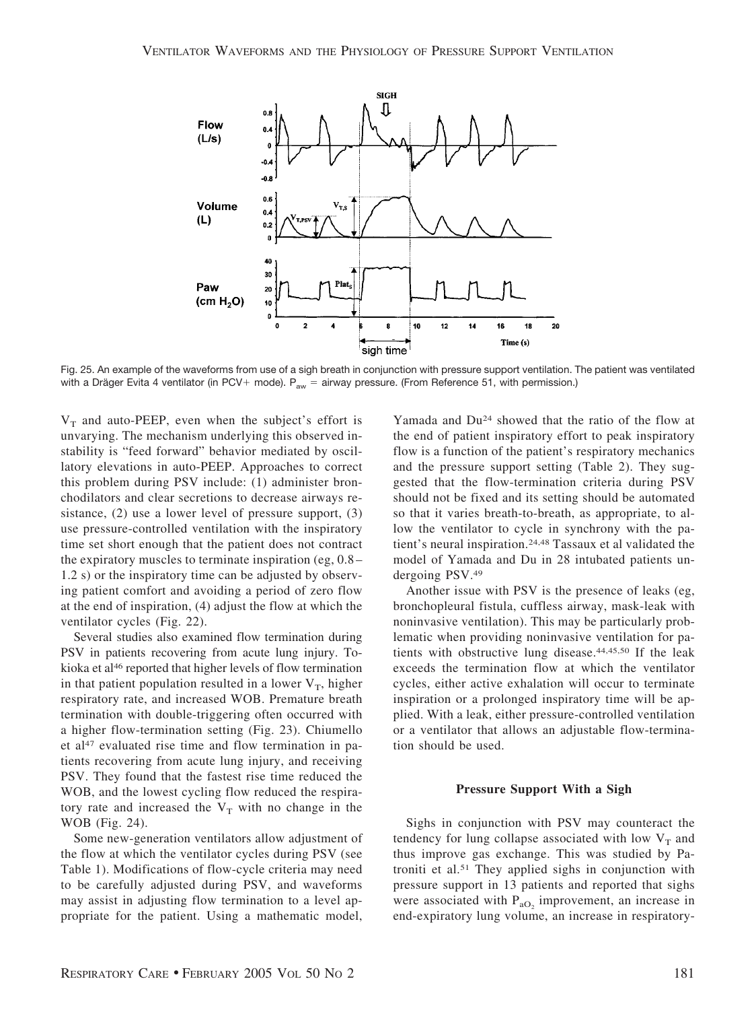

Fig. 25. An example of the waveforms from use of a sigh breath in conjunction with pressure support ventilation. The patient was ventilated with a Dräger Evita 4 ventilator (in PCV+ mode).  ${\mathsf P}_{\text{aw}}=$  airway pressure. (From Reference 51, with permission.)

 $V_T$  and auto-PEEP, even when the subject's effort is unvarying. The mechanism underlying this observed instability is "feed forward" behavior mediated by oscillatory elevations in auto-PEEP. Approaches to correct this problem during PSV include: (1) administer bronchodilators and clear secretions to decrease airways resistance, (2) use a lower level of pressure support, (3) use pressure-controlled ventilation with the inspiratory time set short enough that the patient does not contract the expiratory muscles to terminate inspiration (eg, 0.8– 1.2 s) or the inspiratory time can be adjusted by observing patient comfort and avoiding a period of zero flow at the end of inspiration, (4) adjust the flow at which the ventilator cycles (Fig. 22).

Several studies also examined flow termination during PSV in patients recovering from acute lung injury. Tokioka et al<sup>46</sup> reported that higher levels of flow termination in that patient population resulted in a lower  $V_T$ , higher respiratory rate, and increased WOB. Premature breath termination with double-triggering often occurred with a higher flow-termination setting (Fig. 23). Chiumello et al<sup>47</sup> evaluated rise time and flow termination in patients recovering from acute lung injury, and receiving PSV. They found that the fastest rise time reduced the WOB, and the lowest cycling flow reduced the respiratory rate and increased the  $V_T$  with no change in the WOB (Fig. 24).

Some new-generation ventilators allow adjustment of the flow at which the ventilator cycles during PSV (see Table 1). Modifications of flow-cycle criteria may need to be carefully adjusted during PSV, and waveforms may assist in adjusting flow termination to a level appropriate for the patient. Using a mathematic model,

Yamada and Du24 showed that the ratio of the flow at the end of patient inspiratory effort to peak inspiratory flow is a function of the patient's respiratory mechanics and the pressure support setting (Table 2). They suggested that the flow-termination criteria during PSV should not be fixed and its setting should be automated so that it varies breath-to-breath, as appropriate, to allow the ventilator to cycle in synchrony with the patient's neural inspiration.24,48 Tassaux et al validated the model of Yamada and Du in 28 intubated patients undergoing PSV.49

Another issue with PSV is the presence of leaks (eg, bronchopleural fistula, cuffless airway, mask-leak with noninvasive ventilation). This may be particularly problematic when providing noninvasive ventilation for patients with obstructive lung disease.44,45,50 If the leak exceeds the termination flow at which the ventilator cycles, either active exhalation will occur to terminate inspiration or a prolonged inspiratory time will be applied. With a leak, either pressure-controlled ventilation or a ventilator that allows an adjustable flow-termination should be used.

#### **Pressure Support With a Sigh**

Sighs in conjunction with PSV may counteract the tendency for lung collapse associated with low  $V_T$  and thus improve gas exchange. This was studied by Patroniti et al.51 They applied sighs in conjunction with pressure support in 13 patients and reported that sighs were associated with  $P_{aO_2}$  improvement, an increase in end-expiratory lung volume, an increase in respiratory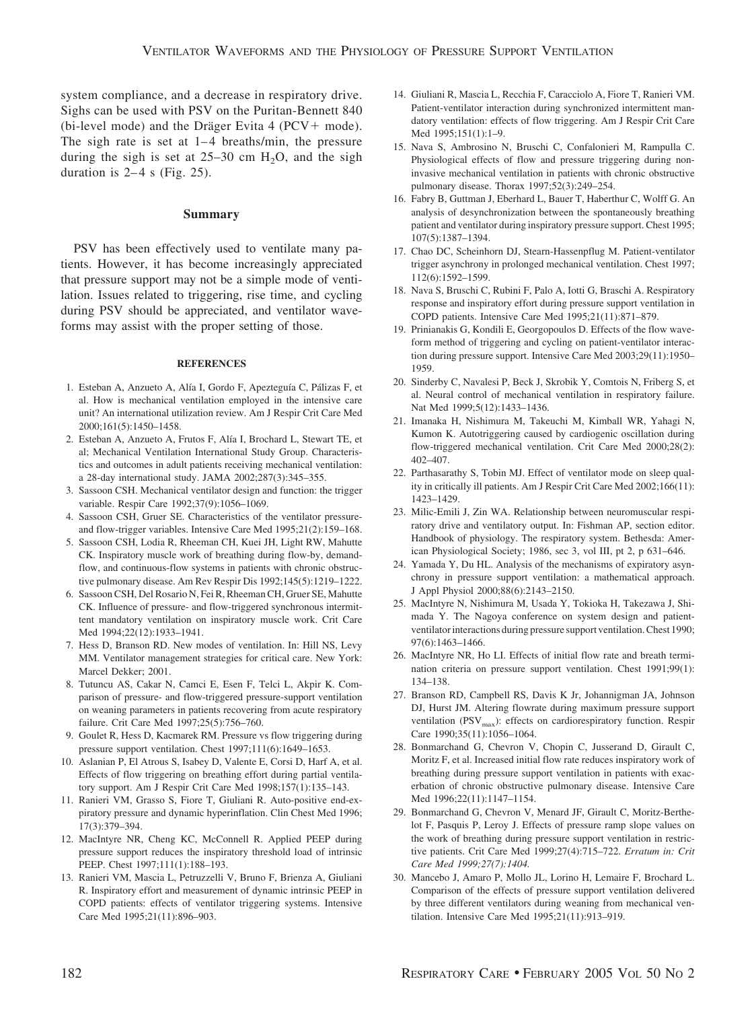system compliance, and a decrease in respiratory drive. Sighs can be used with PSV on the Puritan-Bennett 840 (bi-level mode) and the Dräger Evita 4 ( $PCV+$  mode). The sigh rate is set at 1–4 breaths/min, the pressure during the sigh is set at  $25-30$  cm  $H<sub>2</sub>O$ , and the sigh duration is  $2-4$  s (Fig. 25).

## **Summary**

PSV has been effectively used to ventilate many patients. However, it has become increasingly appreciated that pressure support may not be a simple mode of ventilation. Issues related to triggering, rise time, and cycling during PSV should be appreciated, and ventilator waveforms may assist with the proper setting of those.

## **REFERENCES**

- 1. Esteban A, Anzueto A, Alía I, Gordo F, Apezteguía C, Pálizas F, et al. How is mechanical ventilation employed in the intensive care unit? An international utilization review. Am J Respir Crit Care Med 2000;161(5):1450–1458.
- 2. Esteban A, Anzueto A, Frutos F, Alía I, Brochard L, Stewart TE, et al; Mechanical Ventilation International Study Group. Characteristics and outcomes in adult patients receiving mechanical ventilation: a 28-day international study. JAMA 2002;287(3):345–355.
- 3. Sassoon CSH. Mechanical ventilator design and function: the trigger variable. Respir Care 1992;37(9):1056–1069.
- 4. Sassoon CSH, Gruer SE. Characteristics of the ventilator pressureand flow-trigger variables. Intensive Care Med 1995;21(2):159–168.
- 5. Sassoon CSH, Lodia R, Rheeman CH, Kuei JH, Light RW, Mahutte CK. Inspiratory muscle work of breathing during flow-by, demandflow, and continuous-flow systems in patients with chronic obstructive pulmonary disease. Am Rev Respir Dis 1992;145(5):1219–1222.
- 6. Sassoon CSH, Del Rosario N, Fei R, Rheeman CH, Gruer SE, Mahutte CK. Influence of pressure- and flow-triggered synchronous intermittent mandatory ventilation on inspiratory muscle work. Crit Care Med 1994;22(12):1933–1941.
- 7. Hess D, Branson RD. New modes of ventilation. In: Hill NS, Levy MM. Ventilator management strategies for critical care. New York: Marcel Dekker; 2001.
- 8. Tutuncu AS, Cakar N, Camci E, Esen F, Telci L, Akpir K. Comparison of pressure- and flow-triggered pressure-support ventilation on weaning parameters in patients recovering from acute respiratory failure. Crit Care Med 1997;25(5):756–760.
- 9. Goulet R, Hess D, Kacmarek RM. Pressure vs flow triggering during pressure support ventilation. Chest 1997;111(6):1649–1653.
- 10. Aslanian P, El Atrous S, Isabey D, Valente E, Corsi D, Harf A, et al. Effects of flow triggering on breathing effort during partial ventilatory support. Am J Respir Crit Care Med 1998;157(1):135–143.
- 11. Ranieri VM, Grasso S, Fiore T, Giuliani R. Auto-positive end-expiratory pressure and dynamic hyperinflation. Clin Chest Med 1996; 17(3):379–394.
- 12. MacIntyre NR, Cheng KC, McConnell R. Applied PEEP during pressure support reduces the inspiratory threshold load of intrinsic PEEP. Chest 1997;111(1):188–193.
- 13. Ranieri VM, Mascia L, Petruzzelli V, Bruno F, Brienza A, Giuliani R. Inspiratory effort and measurement of dynamic intrinsic PEEP in COPD patients: effects of ventilator triggering systems. Intensive Care Med 1995;21(11):896–903.
- 14. Giuliani R, Mascia L, Recchia F, Caracciolo A, Fiore T, Ranieri VM. Patient-ventilator interaction during synchronized intermittent mandatory ventilation: effects of flow triggering. Am J Respir Crit Care Med 1995;151(1):1–9.
- 15. Nava S, Ambrosino N, Bruschi C, Confalonieri M, Rampulla C. Physiological effects of flow and pressure triggering during noninvasive mechanical ventilation in patients with chronic obstructive pulmonary disease. Thorax 1997;52(3):249–254.
- 16. Fabry B, Guttman J, Eberhard L, Bauer T, Haberthur C, Wolff G. An analysis of desynchronization between the spontaneously breathing patient and ventilator during inspiratory pressure support. Chest 1995; 107(5):1387–1394.
- 17. Chao DC, Scheinhorn DJ, Stearn-Hassenpflug M. Patient-ventilator trigger asynchrony in prolonged mechanical ventilation. Chest 1997; 112(6):1592–1599.
- 18. Nava S, Bruschi C, Rubini F, Palo A, Iotti G, Braschi A. Respiratory response and inspiratory effort during pressure support ventilation in COPD patients. Intensive Care Med 1995;21(11):871–879.
- 19. Prinianakis G, Kondili E, Georgopoulos D. Effects of the flow waveform method of triggering and cycling on patient-ventilator interaction during pressure support. Intensive Care Med 2003;29(11):1950– 1959.
- 20. Sinderby C, Navalesi P, Beck J, Skrobik Y, Comtois N, Friberg S, et al. Neural control of mechanical ventilation in respiratory failure. Nat Med 1999;5(12):1433–1436.
- 21. Imanaka H, Nishimura M, Takeuchi M, Kimball WR, Yahagi N, Kumon K. Autotriggering caused by cardiogenic oscillation during flow-triggered mechanical ventilation. Crit Care Med 2000;28(2): 402–407.
- 22. Parthasarathy S, Tobin MJ. Effect of ventilator mode on sleep quality in critically ill patients. Am J Respir Crit Care Med 2002;166(11): 1423–1429.
- 23. Milic-Emili J, Zin WA. Relationship between neuromuscular respiratory drive and ventilatory output. In: Fishman AP, section editor. Handbook of physiology. The respiratory system. Bethesda: American Physiological Society; 1986, sec 3, vol III, pt 2, p 631–646.
- 24. Yamada Y, Du HL. Analysis of the mechanisms of expiratory asynchrony in pressure support ventilation: a mathematical approach. J Appl Physiol 2000;88(6):2143–2150.
- 25. MacIntyre N, Nishimura M, Usada Y, Tokioka H, Takezawa J, Shimada Y. The Nagoya conference on system design and patientventilator interactions during pressure support ventilation. Chest 1990; 97(6):1463–1466.
- 26. MacIntyre NR, Ho LI. Effects of initial flow rate and breath termination criteria on pressure support ventilation. Chest 1991;99(1): 134–138.
- 27. Branson RD, Campbell RS, Davis K Jr, Johannigman JA, Johnson DJ, Hurst JM. Altering flowrate during maximum pressure support ventilation (PSV<sub>max</sub>): effects on cardiorespiratory function. Respir Care 1990;35(11):1056–1064.
- 28. Bonmarchand G, Chevron V, Chopin C, Jusserand D, Girault C, Moritz F, et al. Increased initial flow rate reduces inspiratory work of breathing during pressure support ventilation in patients with exacerbation of chronic obstructive pulmonary disease. Intensive Care Med 1996;22(11):1147–1154.
- 29. Bonmarchand G, Chevron V, Menard JF, Girault C, Moritz-Berthelot F, Pasquis P, Leroy J. Effects of pressure ramp slope values on the work of breathing during pressure support ventilation in restrictive patients. Crit Care Med 1999;27(4):715–722. *Erratum in: Crit Care Med 1999;27(7):1404.*
- 30. Mancebo J, Amaro P, Mollo JL, Lorino H, Lemaire F, Brochard L. Comparison of the effects of pressure support ventilation delivered by three different ventilators during weaning from mechanical ventilation. Intensive Care Med 1995;21(11):913–919.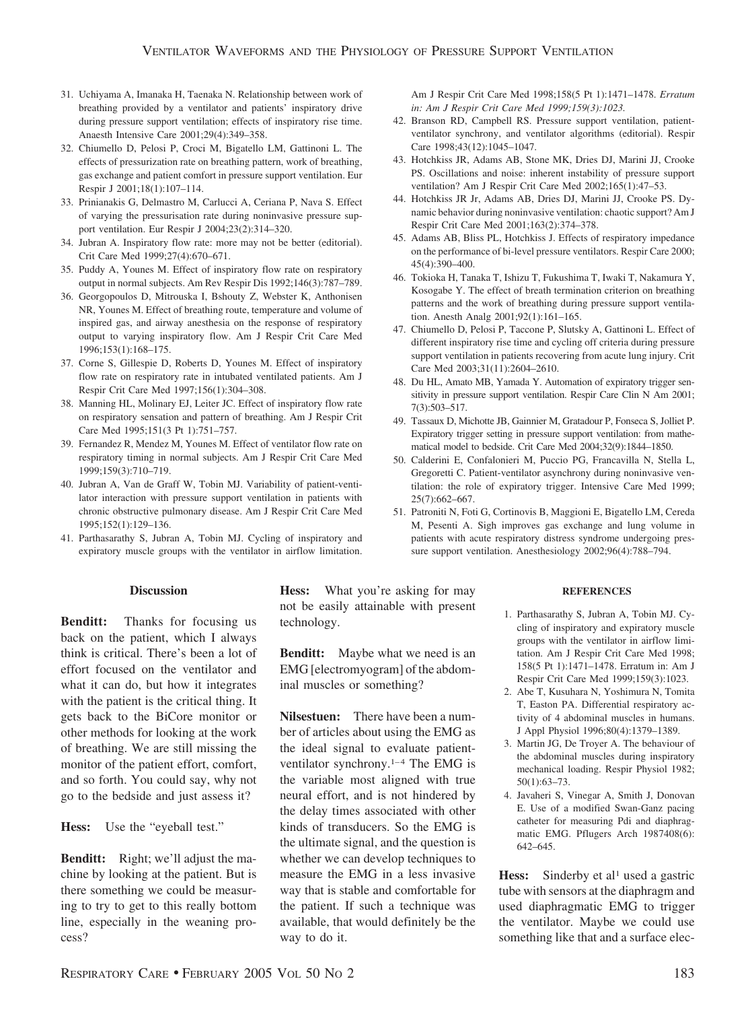- 31. Uchiyama A, Imanaka H, Taenaka N. Relationship between work of breathing provided by a ventilator and patients' inspiratory drive during pressure support ventilation; effects of inspiratory rise time. Anaesth Intensive Care 2001;29(4):349–358.
- 32. Chiumello D, Pelosi P, Croci M, Bigatello LM, Gattinoni L. The effects of pressurization rate on breathing pattern, work of breathing, gas exchange and patient comfort in pressure support ventilation. Eur Respir J 2001;18(1):107–114.
- 33. Prinianakis G, Delmastro M, Carlucci A, Ceriana P, Nava S. Effect of varying the pressurisation rate during noninvasive pressure support ventilation. Eur Respir J 2004;23(2):314–320.
- 34. Jubran A. Inspiratory flow rate: more may not be better (editorial). Crit Care Med 1999;27(4):670–671.
- 35. Puddy A, Younes M. Effect of inspiratory flow rate on respiratory output in normal subjects. Am Rev Respir Dis 1992;146(3):787–789.
- 36. Georgopoulos D, Mitrouska I, Bshouty Z, Webster K, Anthonisen NR, Younes M. Effect of breathing route, temperature and volume of inspired gas, and airway anesthesia on the response of respiratory output to varying inspiratory flow. Am J Respir Crit Care Med 1996;153(1):168–175.
- 37. Corne S, Gillespie D, Roberts D, Younes M. Effect of inspiratory flow rate on respiratory rate in intubated ventilated patients. Am J Respir Crit Care Med 1997;156(1):304–308.
- 38. Manning HL, Molinary EJ, Leiter JC. Effect of inspiratory flow rate on respiratory sensation and pattern of breathing. Am J Respir Crit Care Med 1995;151(3 Pt 1):751–757.
- 39. Fernandez R, Mendez M, Younes M. Effect of ventilator flow rate on respiratory timing in normal subjects. Am J Respir Crit Care Med 1999;159(3):710–719.
- 40. Jubran A, Van de Graff W, Tobin MJ. Variability of patient-ventilator interaction with pressure support ventilation in patients with chronic obstructive pulmonary disease. Am J Respir Crit Care Med 1995;152(1):129–136.
- 41. Parthasarathy S, Jubran A, Tobin MJ. Cycling of inspiratory and expiratory muscle groups with the ventilator in airflow limitation.

## **Discussion**

**Benditt:** Thanks for focusing us back on the patient, which I always think is critical. There's been a lot of effort focused on the ventilator and what it can do, but how it integrates with the patient is the critical thing. It gets back to the BiCore monitor or other methods for looking at the work of breathing. We are still missing the monitor of the patient effort, comfort, and so forth. You could say, why not go to the bedside and just assess it?

**Hess:** Use the "eyeball test."

**Benditt:** Right; we'll adjust the machine by looking at the patient. But is there something we could be measuring to try to get to this really bottom line, especially in the weaning process?

**Hess:** What you're asking for may not be easily attainable with present technology.

**Benditt:** Maybe what we need is an EMG [electromyogram] of the abdominal muscles or something?

**Nilsestuen:** There have been a number of articles about using the EMG as the ideal signal to evaluate patientventilator synchrony.1–4 The EMG is the variable most aligned with true neural effort, and is not hindered by the delay times associated with other kinds of transducers. So the EMG is the ultimate signal, and the question is whether we can develop techniques to measure the EMG in a less invasive way that is stable and comfortable for the patient. If such a technique was available, that would definitely be the way to do it.

Am J Respir Crit Care Med 1998;158(5 Pt 1):1471–1478. *Erratum in: Am J Respir Crit Care Med 1999;159(3):1023.*

- 42. Branson RD, Campbell RS. Pressure support ventilation, patientventilator synchrony, and ventilator algorithms (editorial). Respir Care 1998;43(12):1045–1047.
- 43. Hotchkiss JR, Adams AB, Stone MK, Dries DJ, Marini JJ, Crooke PS. Oscillations and noise: inherent instability of pressure support ventilation? Am J Respir Crit Care Med 2002;165(1):47–53.
- 44. Hotchkiss JR Jr, Adams AB, Dries DJ, Marini JJ, Crooke PS. Dynamic behavior during noninvasive ventilation: chaotic support? Am J Respir Crit Care Med 2001;163(2):374–378.
- 45. Adams AB, Bliss PL, Hotchkiss J. Effects of respiratory impedance on the performance of bi-level pressure ventilators. Respir Care 2000; 45(4):390–400.
- 46. Tokioka H, Tanaka T, Ishizu T, Fukushima T, Iwaki T, Nakamura Y, Kosogabe Y. The effect of breath termination criterion on breathing patterns and the work of breathing during pressure support ventilation. Anesth Analg 2001;92(1):161–165.
- 47. Chiumello D, Pelosi P, Taccone P, Slutsky A, Gattinoni L. Effect of different inspiratory rise time and cycling off criteria during pressure support ventilation in patients recovering from acute lung injury. Crit Care Med 2003;31(11):2604–2610.
- 48. Du HL, Amato MB, Yamada Y. Automation of expiratory trigger sensitivity in pressure support ventilation. Respir Care Clin N Am 2001; 7(3):503–517.
- 49. Tassaux D, Michotte JB, Gainnier M, Gratadour P, Fonseca S, Jolliet P. Expiratory trigger setting in pressure support ventilation: from mathematical model to bedside. Crit Care Med 2004;32(9):1844–1850.
- 50. Calderini E, Confalonieri M, Puccio PG, Francavilla N, Stella L, Gregoretti C. Patient-ventilator asynchrony during noninvasive ventilation: the role of expiratory trigger. Intensive Care Med 1999; 25(7):662–667.
- 51. Patroniti N, Foti G, Cortinovis B, Maggioni E, Bigatello LM, Cereda M, Pesenti A. Sigh improves gas exchange and lung volume in patients with acute respiratory distress syndrome undergoing pressure support ventilation. Anesthesiology 2002;96(4):788–794.

#### **REFERENCES**

- 1. Parthasarathy S, Jubran A, Tobin MJ. Cycling of inspiratory and expiratory muscle groups with the ventilator in airflow limitation. Am J Respir Crit Care Med 1998; 158(5 Pt 1):1471–1478. Erratum in: Am J Respir Crit Care Med 1999;159(3):1023.
- 2. Abe T, Kusuhara N, Yoshimura N, Tomita T, Easton PA. Differential respiratory activity of 4 abdominal muscles in humans. J Appl Physiol 1996;80(4):1379–1389.
- 3. Martin JG, De Troyer A. The behaviour of the abdominal muscles during inspiratory mechanical loading. Respir Physiol 1982; 50(1):63–73.
- 4. Javaheri S, Vinegar A, Smith J, Donovan E. Use of a modified Swan-Ganz pacing catheter for measuring Pdi and diaphragmatic EMG. Pflugers Arch 1987408(6): 642–645.

**Hess:** Sinderby et al<sup>1</sup> used a gastric tube with sensors at the diaphragm and used diaphragmatic EMG to trigger the ventilator. Maybe we could use something like that and a surface elec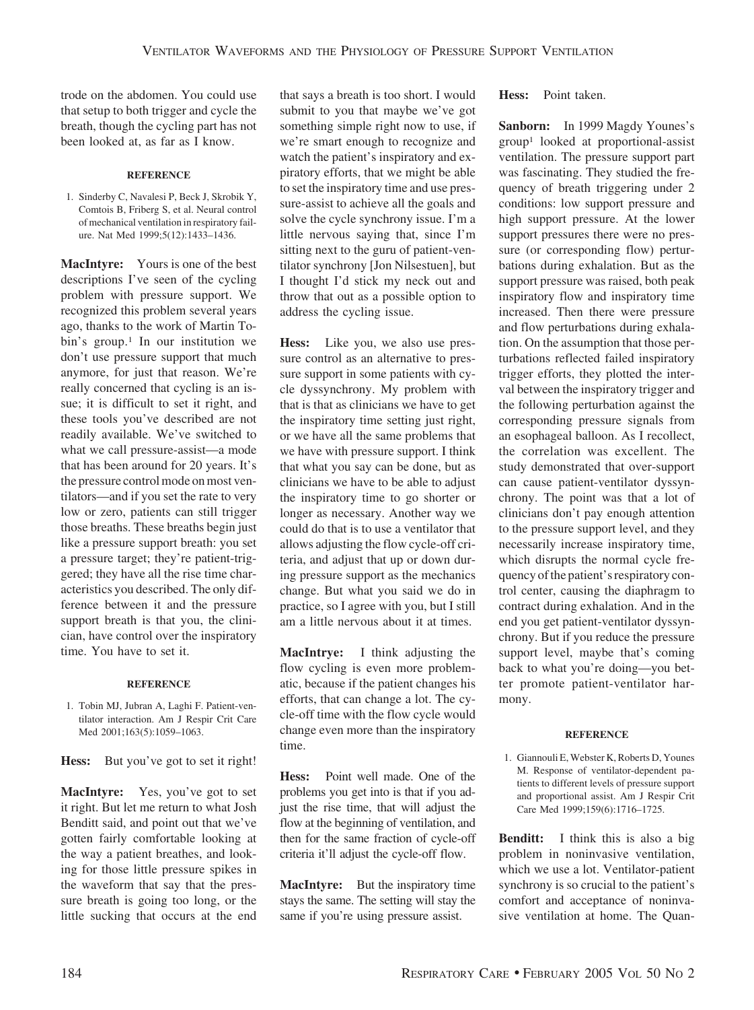trode on the abdomen. You could use that setup to both trigger and cycle the breath, though the cycling part has not been looked at, as far as I know.

#### **REFERENCE**

1. Sinderby C, Navalesi P, Beck J, Skrobik Y, Comtois B, Friberg S, et al. Neural control of mechanical ventilation in respiratory failure. Nat Med 1999;5(12):1433–1436.

**MacIntyre:** Yours is one of the best descriptions I've seen of the cycling problem with pressure support. We recognized this problem several years ago, thanks to the work of Martin Tobin's group.<sup>1</sup> In our institution we don't use pressure support that much anymore, for just that reason. We're really concerned that cycling is an issue; it is difficult to set it right, and these tools you've described are not readily available. We've switched to what we call pressure-assist—a mode that has been around for 20 years. It's the pressure control mode on most ventilators—and if you set the rate to very low or zero, patients can still trigger those breaths. These breaths begin just like a pressure support breath: you set a pressure target; they're patient-triggered; they have all the rise time characteristics you described. The only difference between it and the pressure support breath is that you, the clinician, have control over the inspiratory time. You have to set it.

#### **REFERENCE**

1. Tobin MJ, Jubran A, Laghi F. Patient-ventilator interaction. Am J Respir Crit Care Med 2001;163(5):1059-1063.

Hess: But you've got to set it right!

**MacIntyre:** Yes, you've got to set it right. But let me return to what Josh Benditt said, and point out that we've gotten fairly comfortable looking at the way a patient breathes, and looking for those little pressure spikes in the waveform that say that the pressure breath is going too long, or the little sucking that occurs at the end that says a breath is too short. I would submit to you that maybe we've got something simple right now to use, if we're smart enough to recognize and watch the patient's inspiratory and expiratory efforts, that we might be able to set the inspiratory time and use pressure-assist to achieve all the goals and solve the cycle synchrony issue. I'm a little nervous saying that, since I'm sitting next to the guru of patient-ventilator synchrony [Jon Nilsestuen], but I thought I'd stick my neck out and throw that out as a possible option to address the cycling issue.

**Hess:** Like you, we also use pressure control as an alternative to pressure support in some patients with cycle dyssynchrony. My problem with that is that as clinicians we have to get the inspiratory time setting just right, or we have all the same problems that we have with pressure support. I think that what you say can be done, but as clinicians we have to be able to adjust the inspiratory time to go shorter or longer as necessary. Another way we could do that is to use a ventilator that allows adjusting the flow cycle-off criteria, and adjust that up or down during pressure support as the mechanics change. But what you said we do in practice, so I agree with you, but I still am a little nervous about it at times.

**MacIntrye:** I think adjusting the flow cycling is even more problematic, because if the patient changes his efforts, that can change a lot. The cycle-off time with the flow cycle would change even more than the inspiratory time.

**Hess:** Point well made. One of the problems you get into is that if you adjust the rise time, that will adjust the flow at the beginning of ventilation, and then for the same fraction of cycle-off criteria it'll adjust the cycle-off flow.

**MacIntyre:** But the inspiratory time stays the same. The setting will stay the same if you're using pressure assist.

**Hess:** Point taken.

**Sanborn:** In 1999 Magdy Younes's group1 looked at proportional-assist ventilation. The pressure support part was fascinating. They studied the frequency of breath triggering under 2 conditions: low support pressure and high support pressure. At the lower support pressures there were no pressure (or corresponding flow) perturbations during exhalation. But as the support pressure was raised, both peak inspiratory flow and inspiratory time increased. Then there were pressure and flow perturbations during exhalation. On the assumption that those perturbations reflected failed inspiratory trigger efforts, they plotted the interval between the inspiratory trigger and the following perturbation against the corresponding pressure signals from an esophageal balloon. As I recollect, the correlation was excellent. The study demonstrated that over-support can cause patient-ventilator dyssynchrony. The point was that a lot of clinicians don't pay enough attention to the pressure support level, and they necessarily increase inspiratory time, which disrupts the normal cycle frequency of the patient's respiratory control center, causing the diaphragm to contract during exhalation. And in the end you get patient-ventilator dyssynchrony. But if you reduce the pressure support level, maybe that's coming back to what you're doing—you better promote patient-ventilator harmony.

#### **REFERENCE**

1. Giannouli E, Webster K, Roberts D, Younes M. Response of ventilator-dependent patients to different levels of pressure support and proportional assist. Am J Respir Crit Care Med 1999;159(6):1716–1725.

**Benditt:** I think this is also a big problem in noninvasive ventilation, which we use a lot. Ventilator-patient synchrony is so crucial to the patient's comfort and acceptance of noninvasive ventilation at home. The Quan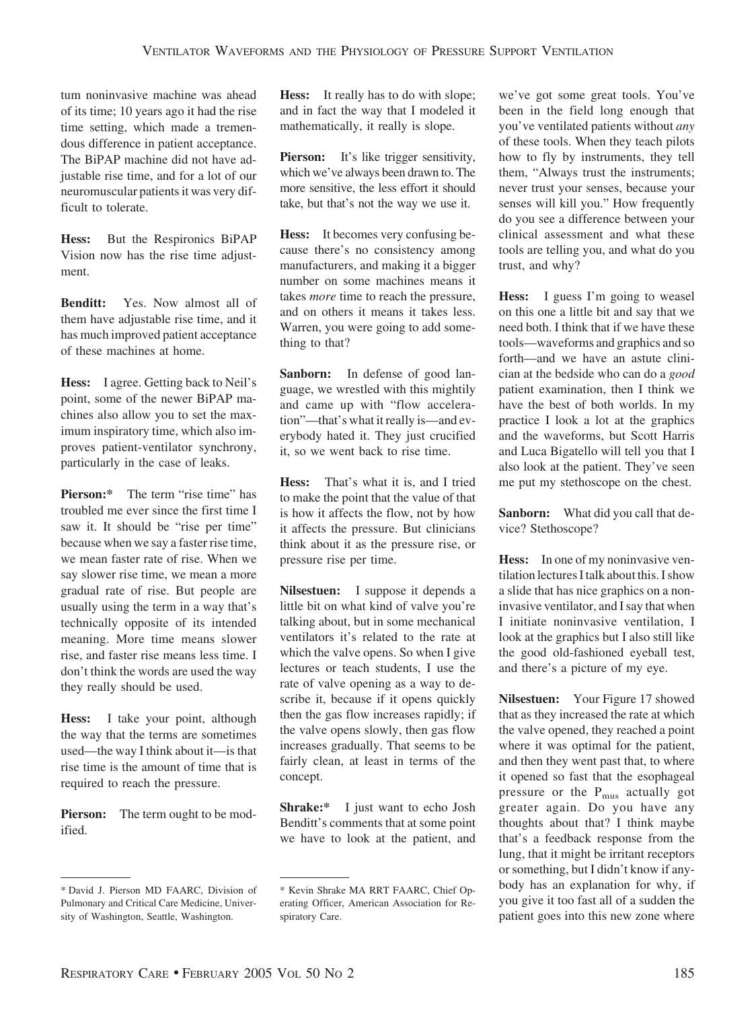tum noninvasive machine was ahead of its time; 10 years ago it had the rise time setting, which made a tremendous difference in patient acceptance. The BiPAP machine did not have adjustable rise time, and for a lot of our neuromuscular patients it was very difficult to tolerate.

**Hess:** But the Respironics BiPAP Vision now has the rise time adjustment.

**Benditt:** Yes. Now almost all of them have adjustable rise time, and it has much improved patient acceptance of these machines at home.

**Hess:** I agree. Getting back to Neil's point, some of the newer BiPAP machines also allow you to set the maximum inspiratory time, which also improves patient-ventilator synchrony, particularly in the case of leaks.

**Pierson:**\* The term "rise time" has troubled me ever since the first time I saw it. It should be "rise per time" because when we say a faster rise time, we mean faster rate of rise. When we say slower rise time, we mean a more gradual rate of rise. But people are usually using the term in a way that's technically opposite of its intended meaning. More time means slower rise, and faster rise means less time. I don't think the words are used the way they really should be used.

**Hess:** I take your point, although the way that the terms are sometimes used—the way I think about it—is that rise time is the amount of time that is required to reach the pressure.

**Pierson:** The term ought to be modified.

**Hess:** It really has to do with slope; and in fact the way that I modeled it mathematically, it really is slope.

**Pierson:** It's like trigger sensitivity, which we've always been drawn to. The more sensitive, the less effort it should take, but that's not the way we use it.

**Hess:** It becomes very confusing because there's no consistency among manufacturers, and making it a bigger number on some machines means it takes *more* time to reach the pressure, and on others it means it takes less. Warren, you were going to add something to that?

**Sanborn:** In defense of good language, we wrestled with this mightily and came up with "flow acceleration"—that's what it really is—and everybody hated it. They just crucified it, so we went back to rise time.

**Hess:** That's what it is, and I tried to make the point that the value of that is how it affects the flow, not by how it affects the pressure. But clinicians think about it as the pressure rise, or pressure rise per time.

**Nilsestuen:** I suppose it depends a little bit on what kind of valve you're talking about, but in some mechanical ventilators it's related to the rate at which the valve opens. So when I give lectures or teach students, I use the rate of valve opening as a way to describe it, because if it opens quickly then the gas flow increases rapidly; if the valve opens slowly, then gas flow increases gradually. That seems to be fairly clean, at least in terms of the concept.

**Shrake:\*** I just want to echo Josh Benditt's comments that at some point we have to look at the patient, and we've got some great tools. You've been in the field long enough that you've ventilated patients without *any* of these tools. When they teach pilots how to fly by instruments, they tell them, "Always trust the instruments; never trust your senses, because your senses will kill you." How frequently do you see a difference between your clinical assessment and what these tools are telling you, and what do you trust, and why?

**Hess:** I guess I'm going to weasel on this one a little bit and say that we need both. I think that if we have these tools—waveforms and graphics and so forth—and we have an astute clinician at the bedside who can do a *good* patient examination, then I think we have the best of both worlds. In my practice I look a lot at the graphics and the waveforms, but Scott Harris and Luca Bigatello will tell you that I also look at the patient. They've seen me put my stethoscope on the chest.

**Sanborn:** What did you call that device? Stethoscope?

**Hess:** In one of my noninvasive ventilation lectures I talk about this. I show a slide that has nice graphics on a noninvasive ventilator, and I say that when I initiate noninvasive ventilation, I look at the graphics but I also still like the good old-fashioned eyeball test, and there's a picture of my eye.

**Nilsestuen:** Your Figure 17 showed that as they increased the rate at which the valve opened, they reached a point where it was optimal for the patient, and then they went past that, to where it opened so fast that the esophageal pressure or the  $P_{\text{mus}}$  actually got greater again. Do you have any thoughts about that? I think maybe that's a feedback response from the lung, that it might be irritant receptors or something, but I didn't know if anybody has an explanation for why, if you give it too fast all of a sudden the patient goes into this new zone where

<sup>\*</sup> David J. Pierson MD FAARC, Division of Pulmonary and Critical Care Medicine, University of Washington, Seattle, Washington.

<sup>\*</sup> Kevin Shrake MA RRT FAARC, Chief Operating Officer, American Association for Respiratory Care.